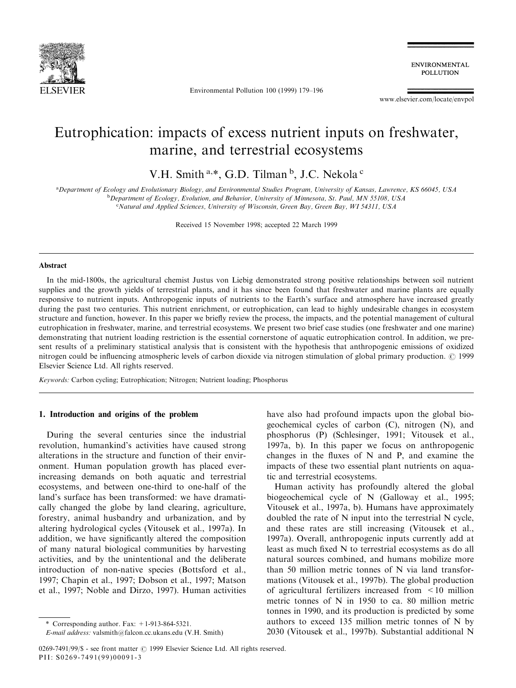

Environmental Pollution 100 (1999) 179-196

**ENVIRONMENTAL POLLUTION** 

www.elsevier.com/locate/envpol

# Eutrophication: impacts of excess nutrient inputs on freshwater, marine, and terrestrial ecosystems

V.H. Smith<sup>a,\*</sup>, G.D. Tilman<sup>b</sup>, J.C. Nekola<sup>c</sup>

a Department of Ecology and Evolutionary Biology, and Environmental Studies Program, University of Kansas, Lawrence, KS 66045, USA <sup>b</sup>Department of Ecology, Evolution, and Behavior, University of Minnesota, St. Paul, MN 55108, USA <sup>c</sup>Natural and Applied Sciences, University of Wisconsin, Green Bay, Green Bay, WI 54311, USA

Received 15 November 1998; accepted 22 March 1999

#### Abstract

In the mid-1800s, the agricultural chemist Justus von Liebig demonstrated strong positive relationships between soil nutrient supplies and the growth yields of terrestrial plants, and it has since been found that freshwater and marine plants are equally responsive to nutrient inputs. Anthropogenic inputs of nutrients to the Earth's surface and atmosphere have increased greatly during the past two centuries. This nutrient enrichment, or eutrophication, can lead to highly undesirable changes in ecosystem structure and function, however. In this paper we briefly review the process, the impacts, and the potential management of cultural eutrophication in freshwater, marine, and terrestrial ecosystems. We present two brief case studies (one freshwater and one marine) demonstrating that nutrient loading restriction is the essential cornerstone of aquatic eutrophication control. In addition, we present results of a preliminary statistical analysis that is consistent with the hypothesis that anthropogenic emissions of oxidized nitrogen could be influencing atmospheric levels of carbon dioxide via nitrogen stimulation of global primary production.  $\odot$  1999 Elsevier Science Ltd. All rights reserved.

Keywords: Carbon cycling; Eutrophication; Nitrogen; Nutrient loading; Phosphorus

## 1. Introduction and origins of the problem

During the several centuries since the industrial revolution, humankind's activities have caused strong alterations in the structure and function of their environment. Human population growth has placed everincreasing demands on both aquatic and terrestrial ecosystems, and between one-third to one-half of the land's surface has been transformed: we have dramatically changed the globe by land clearing, agriculture, forestry, animal husbandry and urbanization, and by altering hydrological cycles (Vitousek et al., 1997a). In addition, we have significantly altered the composition of many natural biological communities by harvesting activities, and by the unintentional and the deliberate introduction of non-native species (Bottsford et al., 1997; Chapin et al., 1997; Dobson et al., 1997; Matson et al., 1997; Noble and Dirzo, 1997). Human activities have also had profound impacts upon the global biogeochemical cycles of carbon (C), nitrogen (N), and phosphorus (P) (Schlesinger, 1991; Vitousek et al., 1997a, b). In this paper we focus on anthropogenic changes in the fluxes of  $N$  and  $P$ , and examine the impacts of these two essential plant nutrients on aquatic and terrestrial ecosystems.

Human activity has profoundly altered the global biogeochemical cycle of N (Galloway et al., 1995; Vitousek et al., 1997a, b). Humans have approximately doubled the rate of N input into the terrestrial N cycle, and these rates are still increasing (Vitousek et al., 1997a). Overall, anthropogenic inputs currently add at least as much fixed N to terrestrial ecosystems as do all natural sources combined, and humans mobilize more than 50 million metric tonnes of N via land transformations (Vitousek et al., 1997b). The global production of agricultural fertilizers increased from <10 million metric tonnes of N in 1950 to ca. 80 million metric tonnes in 1990, and its production is predicted by some authors to exceed 135 million metric tonnes of N by 2030 (Vitousek et al., 1997b). Substantial additional N

<sup>\*</sup> Corresponding author. Fax:  $+1-913-864-5321$ .

E-mail address: valsmith@falcon.cc.ukans.edu (V.H. Smith)

<sup>0269-7491/99/\$ -</sup> see front matter © 1999 Elsevier Science Ltd. All rights reserved. PII: S0269-7491(99)00091-3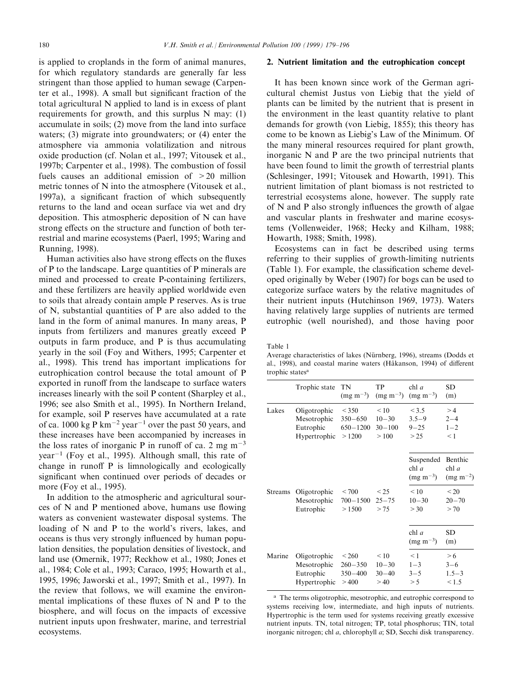is applied to croplands in the form of animal manures, for which regulatory standards are generally far less stringent than those applied to human sewage (Carpenter et al., 1998). A small but significant fraction of the total agricultural N applied to land is in excess of plant requirements for growth, and this surplus N may: (1) accumulate in soils; (2) move from the land into surface waters; (3) migrate into groundwaters; or (4) enter the atmosphere via ammonia volatilization and nitrous oxide production (cf. Nolan et al., 1997; Vitousek et al., 1997b; Carpenter et al., 1998). The combustion of fossil fuels causes an additional emission of >20 million metric tonnes of N into the atmosphere (Vitousek et al., 1997a), a significant fraction of which subsequently returns to the land and ocean surface via wet and dry deposition. This atmospheric deposition of N can have strong effects on the structure and function of both terrestrial and marine ecosystems (Paerl, 1995; Waring and Running, 1998).

Human activities also have strong effects on the fluxes of P to the landscape. Large quantities of P minerals are mined and processed to create P-containing fertilizers, and these fertilizers are heavily applied worldwide even to soils that already contain ample P reserves. As is true of N, substantial quantities of P are also added to the land in the form of animal manures. In many areas, P inputs from fertilizers and manures greatly exceed P outputs in farm produce, and P is thus accumulating yearly in the soil (Foy and Withers, 1995; Carpenter et al., 1998). This trend has important implications for eutrophication control because the total amount of P exported in runoff from the landscape to surface waters increases linearly with the soil P content (Sharpley et al., 1996; see also Smith et al., 1995). In Northern Ireland, for example, soil P reserves have accumulated at a rate of ca. 1000 kg P km<sup> $-2$ </sup> year<sup> $-1$ </sup> over the past 50 years, and these increases have been accompanied by increases in the loss rates of inorganic P in runoff of ca. 2 mg  $m^{-3}$ year<sup> $-1$ </sup> (Foy et al., 1995). Although small, this rate of change in runoff  $P$  is limnologically and ecologically significant when continued over periods of decades or more (Foy et al., 1995).

In addition to the atmospheric and agricultural sources of  $N$  and  $P$  mentioned above, humans use flowing waters as convenient wastewater disposal systems. The loading of N and P to the world's rivers, lakes, and oceans is thus very strongly influenced by human population densities, the population densities of livestock, and land use (Omernik, 1977; Reckhow et al., 1980; Jones et al., 1984; Cole et al., 1993; Caraco, 1995; Howarth et al., 1995, 1996; Jaworski et al., 1997; Smith et al., 1997). In the review that follows, we will examine the environmental implications of these fluxes of  $N$  and  $P$  to the biosphere, and will focus on the impacts of excessive nutrient inputs upon freshwater, marine, and terrestrial ecosystems.

## 2. Nutrient limitation and the eutrophication concept

It has been known since work of the German agricultural chemist Justus von Liebig that the yield of plants can be limited by the nutrient that is present in the environment in the least quantity relative to plant demands for growth (von Liebig, 1855); this theory has come to be known as Liebig's Law of the Minimum. Of the many mineral resources required for plant growth, inorganic N and P are the two principal nutrients that have been found to limit the growth of terrestrial plants (Schlesinger, 1991; Vitousek and Howarth, 1991). This nutrient limitation of plant biomass is not restricted to terrestrial ecosystems alone, however. The supply rate of  $N$  and  $P$  also strongly influences the growth of algae and vascular plants in freshwater and marine ecosystems (Vollenweider, 1968; Hecky and Kilham, 1988; Howarth, 1988; Smith, 1998).

Ecosystems can in fact be described using terms referring to their supplies of growth-limiting nutrients (Table 1). For example, the classification scheme developed originally by Weber (1907) for bogs can be used to categorize surface waters by the relative magnitudes of their nutrient inputs (Hutchinson 1969, 1973). Waters having relatively large supplies of nutrients are termed eutrophic (well nourished), and those having poor

Table 1

Average characteristics of lakes (Nürnberg, 1996), streams (Dodds et al., 1998), and coastal marine waters (Håkanson, 1994) of different trophic statesa

|                | Trophic state                                            | TN<br>$(mg \; m^{-3})$                        | TP<br>$(mg \; m^{-3})$                  | chl a<br>$(mg m^{-3})$                 | SD<br>(m)                              |
|----------------|----------------------------------------------------------|-----------------------------------------------|-----------------------------------------|----------------------------------------|----------------------------------------|
| Lakes          | Oligotrophic<br>Mesotrophic<br>Eutrophic<br>Hypertrophic | < 350<br>$350 - 650$<br>$650 - 1200$<br>>1200 | < 10<br>$10 - 30$<br>$30 - 100$<br>>100 | < 3.5<br>$3.5 - 9$<br>$9 - 25$<br>> 25 | >4<br>$2 - 4$<br>$1 - 2$<br>< 1        |
|                |                                                          |                                               |                                         | Suspended<br>chl $a$<br>$(mg m^{-3})$  | Benthic<br>chl $a$<br>$(mg \; m^{-2})$ |
| <b>Streams</b> | Oligotrophic<br>Mesotrophic<br>Eutrophic                 | < 700<br>700-1500<br>>1500                    | $\leq$ 25<br>$25 - 75$<br>> 75          | ${}_{< 10}$<br>$10 - 30$<br>> 30       | < 20<br>$20 - 70$<br>> 70              |
|                |                                                          |                                               |                                         | chl $a$<br>$(mg m^{-3})$               | SD<br>(m)                              |
| Marine         | Oligotrophic<br>Mesotrophic<br>Eutrophic<br>Hypertrophic | < 260<br>$260 - 350$<br>$350 - 400$<br>>400   | < 10<br>$10 - 30$<br>$30 - 40$<br>>40   | $\leq$ 1<br>$1 - 3$<br>$3 - 5$<br>> 5  | > 6<br>$3 - 6$<br>$1.5 - 3$<br>< 1.5   |

<sup>a</sup> The terms oligotrophic, mesotrophic, and eutrophic correspond to systems receiving low, intermediate, and high inputs of nutrients. Hypertrophic is the term used for systems receiving greatly excessive nutrient inputs. TN, total nitrogen; TP, total phosphorus; TIN, total inorganic nitrogen; chl a, chlorophyll a; SD, Secchi disk transparency.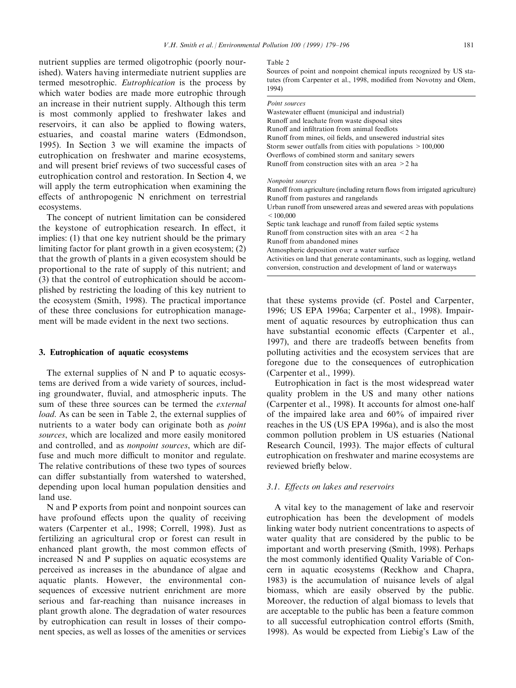nutrient supplies are termed oligotrophic (poorly nourished). Waters having intermediate nutrient supplies are termed mesotrophic. Eutrophication is the process by which water bodies are made more eutrophic through an increase in their nutrient supply. Although this term is most commonly applied to freshwater lakes and reservoirs, it can also be applied to flowing waters, estuaries, and coastal marine waters (Edmondson, 1995). In Section 3 we will examine the impacts of eutrophication on freshwater and marine ecosystems, and will present brief reviews of two successful cases of eutrophication control and restoration. In Section 4, we will apply the term eutrophication when examining the  $effects of anthropogenic N enrichment on terrestrial$ ecosystems.

The concept of nutrient limitation can be considered the keystone of eutrophication research. In effect, it implies: (1) that one key nutrient should be the primary limiting factor for plant growth in a given ecosystem; (2) that the growth of plants in a given ecosystem should be proportional to the rate of supply of this nutrient; and (3) that the control of eutrophication should be accomplished by restricting the loading of this key nutrient to the ecosystem (Smith, 1998). The practical importance of these three conclusions for eutrophication management will be made evident in the next two sections.

#### 3. Eutrophication of aquatic ecosystems

The external supplies of N and P to aquatic ecosystems are derived from a wide variety of sources, including groundwater, fluvial, and atmospheric inputs. The sum of these three sources can be termed the external load. As can be seen in Table 2, the external supplies of nutrients to a water body can originate both as point sources, which are localized and more easily monitored and controlled, and as nonpoint sources, which are diffuse and much more difficult to monitor and regulate. The relative contributions of these two types of sources can differ substantially from watershed to watershed, depending upon local human population densities and land use.

N and P exports from point and nonpoint sources can have profound effects upon the quality of receiving waters (Carpenter et al., 1998; Correll, 1998). Just as fertilizing an agricultural crop or forest can result in enhanced plant growth, the most common effects of increased N and P supplies on aquatic ecosystems are perceived as increases in the abundance of algae and aquatic plants. However, the environmental consequences of excessive nutrient enrichment are more serious and far-reaching than nuisance increases in plant growth alone. The degradation of water resources by eutrophication can result in losses of their component species, as well as losses of the amenities or services

#### Table 2

Sources of point and nonpoint chemical inputs recognized by US statutes (from Carpenter et al., 1998, modified from Novotny and Olem, 1994)

#### Point sources

Wastewater effluent (municipal and industrial) Runoff and leachate from waste disposal sites Runoff and infiltration from animal feedlots Runoff from mines, oil fields, and unsewered industrial sites Storm sewer outfalls from cities with populations >100,000 Overflows of combined storm and sanitary sewers Runoff from construction sites with an area  $>2$  ha

#### Nonpoint sources

| Runoff from agriculture (including return flows from irrigated agriculture)                                                              |
|------------------------------------------------------------------------------------------------------------------------------------------|
| Runoff from pastures and rangelands                                                                                                      |
| Urban runoff from unsewered areas and sewered areas with populations                                                                     |
| < 100,000                                                                                                                                |
| Septic tank leachage and runoff from failed septic systems                                                                               |
| Runoff from construction sites with an area $\leq 2$ ha                                                                                  |
| Runoff from abandoned mines                                                                                                              |
| Atmospheric deposition over a water surface                                                                                              |
| Activities on land that generate contaminants, such as logging, wetland<br>conversion, construction and development of land or waterways |
|                                                                                                                                          |

that these systems provide (cf. Postel and Carpenter, 1996; US EPA 1996a; Carpenter et al., 1998). Impairment of aquatic resources by eutrophication thus can have substantial economic effects (Carpenter et al., 1997), and there are tradeoffs between benefits from polluting activities and the ecosystem services that are foregone due to the consequences of eutrophication (Carpenter et al., 1999).

Eutrophication in fact is the most widespread water quality problem in the US and many other nations (Carpenter et al., 1998). It accounts for almost one-half of the impaired lake area and 60% of impaired river reaches in the US (US EPA 1996a), and is also the most common pollution problem in US estuaries (National Research Council, 1993). The major effects of cultural eutrophication on freshwater and marine ecosystems are reviewed briefly below.

## 3.1. Effects on lakes and reservoirs

A vital key to the management of lake and reservoir eutrophication has been the development of models linking water body nutrient concentrations to aspects of water quality that are considered by the public to be important and worth preserving (Smith, 1998). Perhaps the most commonly identified Quality Variable of Concern in aquatic ecosystems (Reckhow and Chapra, 1983) is the accumulation of nuisance levels of algal biomass, which are easily observed by the public. Moreover, the reduction of algal biomass to levels that are acceptable to the public has been a feature common to all successful eutrophication control efforts (Smith, 1998). As would be expected from Liebig's Law of the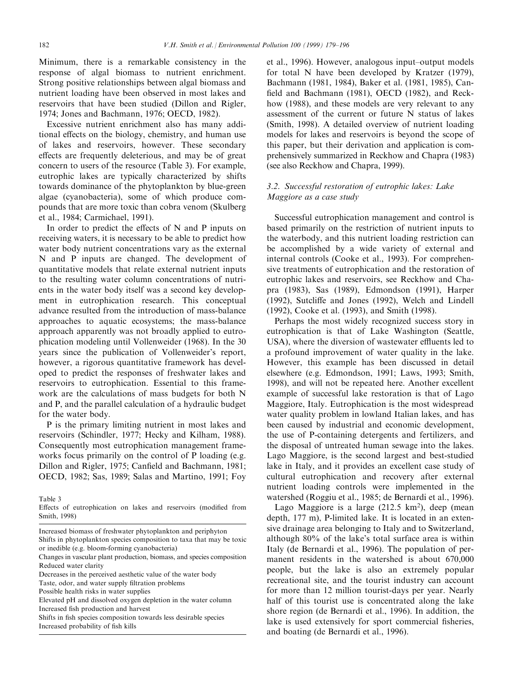Minimum, there is a remarkable consistency in the response of algal biomass to nutrient enrichment. Strong positive relationships between algal biomass and nutrient loading have been observed in most lakes and reservoirs that have been studied (Dillon and Rigler, 1974; Jones and Bachmann, 1976; OECD, 1982).

Excessive nutrient enrichment also has many additional effects on the biology, chemistry, and human use of lakes and reservoirs, however. These secondary effects are frequently deleterious, and may be of great concern to users of the resource (Table 3). For example, eutrophic lakes are typically characterized by shifts towards dominance of the phytoplankton by blue-green algae (cyanobacteria), some of which produce compounds that are more toxic than cobra venom (Skulberg et al., 1984; Carmichael, 1991).

In order to predict the effects of  $N$  and  $P$  inputs on receiving waters, it is necessary to be able to predict how water body nutrient concentrations vary as the external N and P inputs are changed. The development of quantitative models that relate external nutrient inputs to the resulting water column concentrations of nutrients in the water body itself was a second key development in eutrophication research. This conceptual advance resulted from the introduction of mass-balance approaches to aquatic ecosystems; the mass-balance approach apparently was not broadly applied to eutrophication modeling until Vollenweider (1968). In the 30 years since the publication of Vollenweider's report, however, a rigorous quantitative framework has developed to predict the responses of freshwater lakes and reservoirs to eutrophication. Essential to this framework are the calculations of mass budgets for both N and P, and the parallel calculation of a hydraulic budget for the water body.

P is the primary limiting nutrient in most lakes and reservoirs (Schindler, 1977; Hecky and Kilham, 1988). Consequently most eutrophication management frameworks focus primarily on the control of P loading (e.g. Dillon and Rigler, 1975; Canfield and Bachmann, 1981; OECD, 1982; Sas, 1989; Salas and Martino, 1991; Foy

Table 3

- Effects of eutrophication on lakes and reservoirs (modified from Smith, 1998)
- Increased biomass of freshwater phytoplankton and periphyton Shifts in phytoplankton species composition to taxa that may be toxic or inedible (e.g. bloom-forming cyanobacteria)

Decreases in the perceived aesthetic value of the water body

Taste, odor, and water supply filtration problems

Possible health risks in water supplies

Elevated pH and dissolved oxygen depletion in the water column Increased fish production and harvest

Shifts in fish species composition towards less desirable species Increased probability of fish kills

et al., 1996). However, analogous input-output models for total N have been developed by Kratzer (1979), Bachmann (1981, 1984), Baker et al. (1981, 1985), Can field and Bachmann (1981), OECD (1982), and Reckhow (1988), and these models are very relevant to any assessment of the current or future N status of lakes (Smith, 1998). A detailed overview of nutrient loading models for lakes and reservoirs is beyond the scope of this paper, but their derivation and application is comprehensively summarized in Reckhow and Chapra (1983) (see also Reckhow and Chapra, 1999).

# 3.2. Successful restoration of eutrophic lakes: Lake Maggiore as a case study

Successful eutrophication management and control is based primarily on the restriction of nutrient inputs to the waterbody, and this nutrient loading restriction can be accomplished by a wide variety of external and internal controls (Cooke et al., 1993). For comprehensive treatments of eutrophication and the restoration of eutrophic lakes and reservoirs, see Reckhow and Chapra (1983), Sas (1989), Edmondson (1991), Harper (1992), Sutcliffe and Jones (1992), Welch and Lindell (1992), Cooke et al. (1993), and Smith (1998).

Perhaps the most widely recognized success story in eutrophication is that of Lake Washington (Seattle, USA), where the diversion of wastewater effluents led to a profound improvement of water quality in the lake. However, this example has been discussed in detail elsewhere (e.g. Edmondson, 1991; Laws, 1993; Smith, 1998), and will not be repeated here. Another excellent example of successful lake restoration is that of Lago Maggiore, Italy. Eutrophication is the most widespread water quality problem in lowland Italian lakes, and has been caused by industrial and economic development, the use of P-containing detergents and fertilizers, and the disposal of untreated human sewage into the lakes. Lago Maggiore, is the second largest and best-studied lake in Italy, and it provides an excellent case study of cultural eutrophication and recovery after external nutrient loading controls were implemented in the watershed (Roggiu et al., 1985; de Bernardi et al., 1996).

Lago Maggiore is a large (212.5 km<sup>2</sup>), deep (mean depth, 177 m), P-limited lake. It is located in an extensive drainage area belonging to Italy and to Switzerland, although 80% of the lake's total surface area is within Italy (de Bernardi et al., 1996). The population of permanent residents in the watershed is about 670,000 people, but the lake is also an extremely popular recreational site, and the tourist industry can account for more than 12 million tourist-days per year. Nearly half of this tourist use is concentrated along the lake shore region (de Bernardi et al., 1996). In addition, the lake is used extensively for sport commercial fisheries, and boating (de Bernardi et al., 1996).

Changes in vascular plant production, biomass, and species composition Reduced water clarity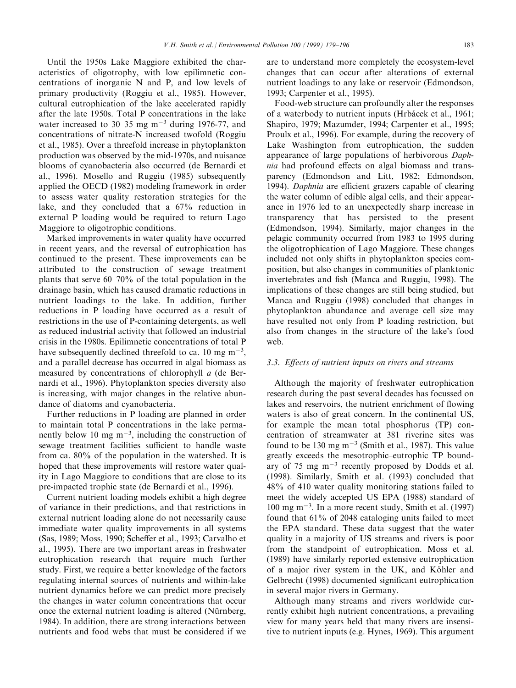Until the 1950s Lake Maggiore exhibited the characteristics of oligotrophy, with low epilimnetic concentrations of inorganic N and P, and low levels of primary productivity (Roggiu et al., 1985). However, cultural eutrophication of the lake accelerated rapidly after the late 1950s. Total P concentrations in the lake water increased to 30-35 mg  $m<sup>-3</sup>$  during 1976-77, and concentrations of nitrate-N increased twofold (Roggiu et al., 1985). Over a threefold increase in phytoplankton production was observed by the mid-1970s, and nuisance blooms of cyanobacteria also occurred (de Bernardi et al., 1996). Mosello and Ruggiu (1985) subsequently applied the OECD (1982) modeling framework in order to assess water quality restoration strategies for the lake, and they concluded that a 67% reduction in external P loading would be required to return Lago Maggiore to oligotrophic conditions.

Marked improvements in water quality have occurred in recent years, and the reversal of eutrophication has continued to the present. These improvements can be attributed to the construction of sewage treatment plants that serve  $60-70\%$  of the total population in the drainage basin, which has caused dramatic reductions in nutrient loadings to the lake. In addition, further reductions in P loading have occurred as a result of restrictions in the use of P-containing detergents, as well as reduced industrial activity that followed an industrial crisis in the 1980s. Epilimnetic concentrations of total P have subsequently declined threefold to ca. 10 mg  $m^{-3}$ , and a parallel decrease has occurred in algal biomass as measured by concentrations of chlorophyll a (de Bernardi et al., 1996). Phytoplankton species diversity also is increasing, with major changes in the relative abundance of diatoms and cyanobacteria.

Further reductions in P loading are planned in order to maintain total P concentrations in the lake permanently below 10 mg  $m^{-3}$ , including the construction of sewage treatment facilities sufficient to handle waste from ca. 80% of the population in the watershed. It is hoped that these improvements will restore water quality in Lago Maggiore to conditions that are close to its pre-impacted trophic state (de Bernardi et al., 1996).

Current nutrient loading models exhibit a high degree of variance in their predictions, and that restrictions in external nutrient loading alone do not necessarily cause immediate water quality improvements in all systems (Sas, 1989; Moss, 1990; Scheffer et al., 1993; Carvalho et al., 1995). There are two important areas in freshwater eutrophication research that require much further study. First, we require a better knowledge of the factors regulating internal sources of nutrients and within-lake nutrient dynamics before we can predict more precisely the changes in water column concentrations that occur once the external nutrient loading is altered (Nürnberg, 1984). In addition, there are strong interactions between nutrients and food webs that must be considered if we are to understand more completely the ecosystem-level changes that can occur after alterations of external nutrient loadings to any lake or reservoir (Edmondson, 1993; Carpenter et al., 1995).

Food-web structure can profoundly alter the responses of a waterbody to nutrient inputs (Hrbácek et al., 1961; Shapiro, 1979; Mazumder, 1994; Carpenter et al., 1995; Proulx et al., 1996). For example, during the recovery of Lake Washington from eutrophication, the sudden appearance of large populations of herbivorous Daphnia had profound effects on algal biomass and transparency (Edmondson and Litt, 1982; Edmondson, 1994). Daphnia are efficient grazers capable of clearing the water column of edible algal cells, and their appearance in 1976 led to an unexpectedly sharp increase in transparency that has persisted to the present (Edmondson, 1994). Similarly, major changes in the pelagic community occurred from 1983 to 1995 during the oligotrophication of Lago Maggiore. These changes included not only shifts in phytoplankton species composition, but also changes in communities of planktonic invertebrates and fish (Manca and Ruggiu, 1998). The implications of these changes are still being studied, but Manca and Ruggiu (1998) concluded that changes in phytoplankton abundance and average cell size may have resulted not only from P loading restriction, but also from changes in the structure of the lake's food web.

## 3.3. Effects of nutrient inputs on rivers and streams

Although the majority of freshwater eutrophication research during the past several decades has focussed on lakes and reservoirs, the nutrient enrichment of flowing waters is also of great concern. In the continental US, for example the mean total phosphorus (TP) concentration of streamwater at 381 riverine sites was found to be 130 mg  $m^{-3}$  (Smith et al., 1987). This value greatly exceeds the mesotrophic-eutrophic TP boundary of 75 mg  $m<sup>-3</sup>$  recently proposed by Dodds et al. (1998). Similarly, Smith et al. (1993) concluded that 48% of 410 water quality monitoring stations failed to meet the widely accepted US EPA (1988) standard of  $100 \text{ mg m}^{-3}$ . In a more recent study, Smith et al. (1997) found that 61% of 2048 cataloging units failed to meet the EPA standard. These data suggest that the water quality in a majority of US streams and rivers is poor from the standpoint of eutrophication. Moss et al. (1989) have similarly reported extensive eutrophication of a major river system in the UK, and Köhler and Gelbrecht (1998) documented significant eutrophication in several major rivers in Germany.

Although many streams and rivers worldwide currently exhibit high nutrient concentrations, a prevailing view for many years held that many rivers are insensitive to nutrient inputs (e.g. Hynes, 1969). This argument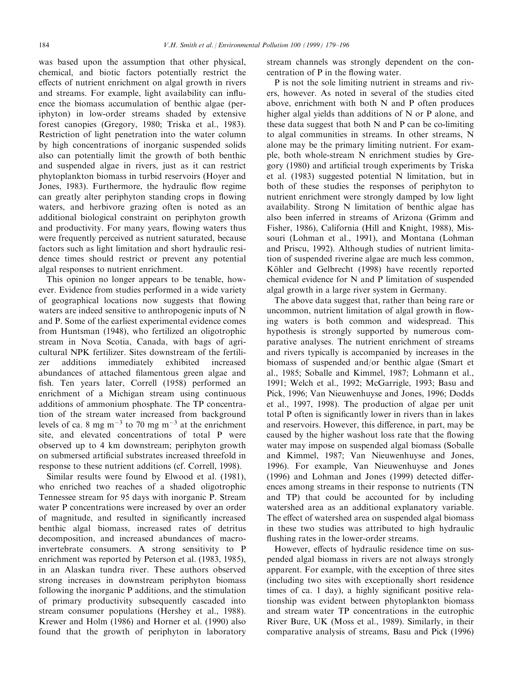was based upon the assumption that other physical, chemical, and biotic factors potentially restrict the effects of nutrient enrichment on algal growth in rivers and streams. For example, light availability can influence the biomass accumulation of benthic algae (periphyton) in low-order streams shaded by extensive forest canopies (Gregory, 1980; Triska et al., 1983). Restriction of light penetration into the water column by high concentrations of inorganic suspended solids also can potentially limit the growth of both benthic and suspended algae in rivers, just as it can restrict phytoplankton biomass in turbid reservoirs (Hoyer and Jones, 1983). Furthermore, the hydraulic flow regime can greatly alter periphyton standing crops in flowing waters, and herbivore grazing often is noted as an additional biological constraint on periphyton growth and productivity. For many years, flowing waters thus were frequently perceived as nutrient saturated, because factors such as light limitation and short hydraulic residence times should restrict or prevent any potential algal responses to nutrient enrichment.

This opinion no longer appears to be tenable, however. Evidence from studies performed in a wide variety of geographical locations now suggests that flowing waters are indeed sensitive to anthropogenic inputs of N and P. Some of the earliest experimental evidence comes from Huntsman (1948), who fertilized an oligotrophic stream in Nova Scotia, Canada, with bags of agricultural NPK fertilizer. Sites downstream of the fertilizer additions immediately exhibited increased abundances of attached filamentous green algae and fish. Ten years later, Correll (1958) performed an enrichment of a Michigan stream using continuous additions of ammonium phosphate. The TP concentration of the stream water increased from background levels of ca. 8 mg  $m^{-3}$  to 70 mg  $m^{-3}$  at the enrichment site, and elevated concentrations of total P were observed up to 4 km downstream; periphyton growth on submersed artificial substrates increased threefold in response to these nutrient additions (cf. Correll, 1998).

Similar results were found by Elwood et al. (1981), who enriched two reaches of a shaded oligotrophic Tennessee stream for 95 days with inorganic P. Stream water P concentrations were increased by over an order of magnitude, and resulted in significantly increased benthic algal biomass, increased rates of detritus decomposition, and increased abundances of macroinvertebrate consumers. A strong sensitivity to P enrichment was reported by Peterson et al. (1983, 1985), in an Alaskan tundra river. These authors observed strong increases in downstream periphyton biomass following the inorganic P additions, and the stimulation of primary productivity subsequently cascaded into stream consumer populations (Hershey et al., 1988). Krewer and Holm (1986) and Horner et al. (1990) also found that the growth of periphyton in laboratory

stream channels was strongly dependent on the concentration of  $P$  in the flowing water.

P is not the sole limiting nutrient in streams and rivers, however. As noted in several of the studies cited above, enrichment with both N and P often produces higher algal yields than additions of N or P alone, and these data suggest that both N and P can be co-limiting to algal communities in streams. In other streams, N alone may be the primary limiting nutrient. For example, both whole-stream N enrichment studies by Gregory (1980) and artificial trough experiments by Triska et al. (1983) suggested potential N limitation, but in both of these studies the responses of periphyton to nutrient enrichment were strongly damped by low light availability. Strong N limitation of benthic algae has also been inferred in streams of Arizona (Grimm and Fisher, 1986), California (Hill and Knight, 1988), Missouri (Lohman et al., 1991), and Montana (Lohman and Priscu, 1992). Although studies of nutrient limitation of suspended riverine algae are much less common, Köhler and Gelbrecht (1998) have recently reported chemical evidence for N and P limitation of suspended algal growth in a large river system in Germany.

The above data suggest that, rather than being rare or uncommon, nutrient limitation of algal growth in flowing waters is both common and widespread. This hypothesis is strongly supported by numerous comparative analyses. The nutrient enrichment of streams and rivers typically is accompanied by increases in the biomass of suspended and/or benthic algae (Smart et al., 1985; Soballe and Kimmel, 1987; Lohmann et al., 1991; Welch et al., 1992; McGarrigle, 1993; Basu and Pick, 1996; Van Nieuwenhuyse and Jones, 1996; Dodds et al., 1997, 1998). The production of algae per unit total P often is significantly lower in rivers than in lakes and reservoirs. However, this difference, in part, may be caused by the higher washout loss rate that the flowing water may impose on suspended algal biomass (Soballe and Kimmel, 1987; Van Nieuwenhuyse and Jones, 1996). For example, Van Nieuwenhuyse and Jones  $(1996)$  and Lohman and Jones  $(1999)$  detected differences among streams in their response to nutrients (TN and TP) that could be accounted for by including watershed area as an additional explanatory variable. The effect of watershed area on suspended algal biomass in these two studies was attributed to high hydraulic flushing rates in the lower-order streams.

However, effects of hydraulic residence time on suspended algal biomass in rivers are not always strongly apparent. For example, with the exception of three sites (including two sites with exceptionally short residence times of ca.  $1$  day), a highly significant positive relationship was evident between phytoplankton biomass and stream water TP concentrations in the eutrophic River Bure, UK (Moss et al., 1989). Similarly, in their comparative analysis of streams, Basu and Pick (1996)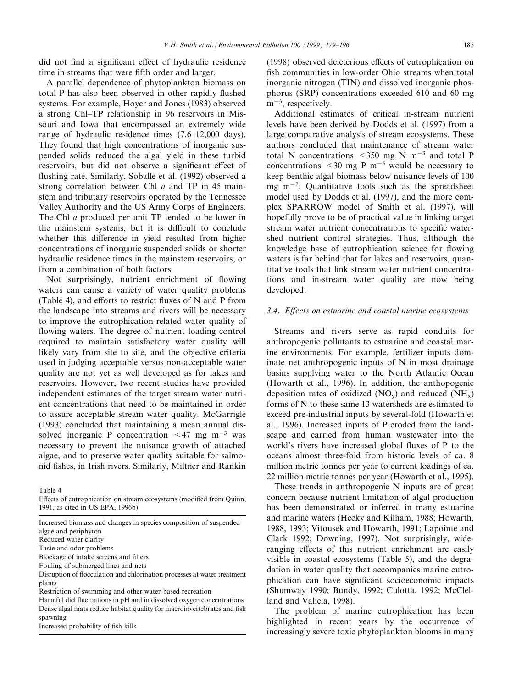did not find a significant effect of hydraulic residence time in streams that were fifth order and larger.

A parallel dependence of phytoplankton biomass on total P has also been observed in other rapidly flushed systems. For example, Hoyer and Jones (1983) observed a strong Chl–TP relationship in 96 reservoirs in Missouri and Iowa that encompassed an extremely wide range of hydraulic residence times  $(7.6-12,000 \text{ days})$ . They found that high concentrations of inorganic suspended solids reduced the algal yield in these turbid reservoirs, but did not observe a significant effect of flushing rate. Similarly, Soballe et al. (1992) observed a strong correlation between Chl a and TP in 45 mainstem and tributary reservoirs operated by the Tennessee Valley Authority and the US Army Corps of Engineers. The Chl a produced per unit TP tended to be lower in the mainstem systems, but it is difficult to conclude whether this difference in yield resulted from higher concentrations of inorganic suspended solids or shorter hydraulic residence times in the mainstem reservoirs, or from a combination of both factors.

Not surprisingly, nutrient enrichment of flowing waters can cause a variety of water quality problems (Table 4), and efforts to restrict fluxes of  $N$  and  $P$  from the landscape into streams and rivers will be necessary to improve the eutrophication-related water quality of flowing waters. The degree of nutrient loading control required to maintain satisfactory water quality will likely vary from site to site, and the objective criteria used in judging acceptable versus non-acceptable water quality are not yet as well developed as for lakes and reservoirs. However, two recent studies have provided independent estimates of the target stream water nutrient concentrations that need to be maintained in order to assure acceptable stream water quality. McGarrigle (1993) concluded that maintaining a mean annual dissolved inorganic P concentration  $\leq 47$  mg m<sup>-3</sup> was necessary to prevent the nuisance growth of attached algae, and to preserve water quality suitable for salmonid fishes, in Irish rivers. Similarly, Miltner and Rankin

Table 4

Effects of eutrophication on stream ecosystems (modified from Quinn, 1991, as cited in US EPA, 1996b)

Increased biomass and changes in species composition of suspended algae and periphyton Reduced water clarity

Taste and odor problems

Blockage of intake screens and filters

Fouling of submerged lines and nets

Disruption of flocculation and chlorination processes at water treatment plants

Restriction of swimming and other water-based recreation

Harmful diel fluctuations in  $pH$  and in dissolved oxygen concentrations Dense algal mats reduce habitat quality for macroinvertebrates and fish spawning

Increased probability of fish kills

(1998) observed deleterious effects of eutrophication on fish communities in low-order Ohio streams when total inorganic nitrogen (TIN) and dissolved inorganic phosphorus (SRP) concentrations exceeded 610 and 60 mg  $m^{-3}$ , respectively.

Additional estimates of critical in-stream nutrient levels have been derived by Dodds et al. (1997) from a large comparative analysis of stream ecosystems. These authors concluded that maintenance of stream water total N concentrations  $\leq 350$  mg N m<sup>-3</sup> and total P concentrations  $\leq 30$  mg P m<sup>-3</sup> would be necessary to keep benthic algal biomass below nuisance levels of 100 mg  $m^{-2}$ . Quantitative tools such as the spreadsheet model used by Dodds et al. (1997), and the more complex SPARROW model of Smith et al. (1997), will hopefully prove to be of practical value in linking target stream water nutrient concentrations to specific watershed nutrient control strategies. Thus, although the knowledge base of eutrophication science for flowing waters is far behind that for lakes and reservoirs, quantitative tools that link stream water nutrient concentrations and in-stream water quality are now being developed.

## 3.4. Effects on estuarine and coastal marine ecosystems

Streams and rivers serve as rapid conduits for anthropogenic pollutants to estuarine and coastal marine environments. For example, fertilizer inputs dominate net anthropogenic inputs of N in most drainage basins supplying water to the North Atlantic Ocean (Howarth et al., 1996). In addition, the anthopogenic deposition rates of oxidized  $(NO_v)$  and reduced  $(NH_x)$ forms of N to these same 13 watersheds are estimated to exceed pre-industrial inputs by several-fold (Howarth et al., 1996). Increased inputs of P eroded from the landscape and carried from human wastewater into the world's rivers have increased global fluxes of  $P$  to the oceans almost three-fold from historic levels of ca. 8 million metric tonnes per year to current loadings of ca. 22 million metric tonnes per year (Howarth et al., 1995).

These trends in anthropogenic N inputs are of great concern because nutrient limitation of algal production has been demonstrated or inferred in many estuarine and marine waters (Hecky and Kilham, 1988; Howarth, 1988, 1993; Vitousek and Howarth, 1991; Lapointe and Clark 1992; Downing, 1997). Not surprisingly, wideranging effects of this nutrient enrichment are easily visible in coastal ecosystems (Table 5), and the degradation in water quality that accompanies marine eutrophication can have significant socioeconomic impacts (Shumway 1990; Bundy, 1992; Culotta, 1992; McClelland and Valiela, 1998).

The problem of marine eutrophication has been highlighted in recent years by the occurrence of increasingly severe toxic phytoplankton blooms in many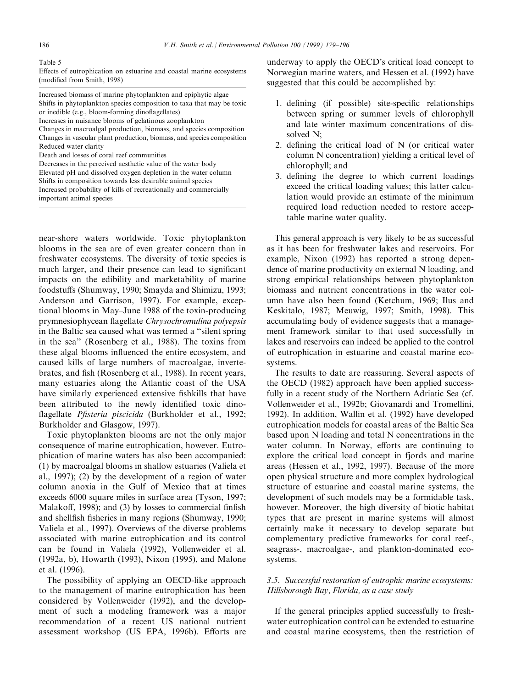#### Table 5

Effects of eutrophication on estuarine and coastal marine ecosystems (modified from Smith, 1998)

Increased biomass of marine phytoplankton and epiphytic algae Shifts in phytoplankton species composition to taxa that may be toxic or inedible (e.g., bloom-forming dinoflagellates) Increases in nuisance blooms of gelatinous zooplankton Changes in macroalgal production, biomass, and species composition

Changes in vascular plant production, biomass, and species composition Reduced water clarity

Death and losses of coral reef communities

Decreases in the perceived aesthetic value of the water body Elevated pH and dissolved oxygen depletion in the water column Shifts in composition towards less desirable animal species Increased probability of kills of recreationally and commercially important animal species

near-shore waters worldwide. Toxic phytoplankton blooms in the sea are of even greater concern than in freshwater ecosystems. The diversity of toxic species is much larger, and their presence can lead to significant impacts on the edibility and marketability of marine foodstuffs (Shumway, 1990; Smayda and Shimizu, 1993; Anderson and Garrison, 1997). For example, exceptional blooms in May–June 1988 of the toxin-producing prymnesiophycean flagellate Chrysochromulina polyepsis in the Baltic sea caused what was termed a "silent spring in the sea'' (Rosenberg et al., 1988). The toxins from these algal blooms influenced the entire ecosystem, and caused kills of large numbers of macroalgae, invertebrates, and fish (Rosenberg et al., 1988). In recent years, many estuaries along the Atlantic coast of the USA have similarly experienced extensive fishkills that have been attributed to the newly identified toxic dinoflagellate Pfisteria piscicida (Burkholder et al., 1992; Burkholder and Glasgow, 1997).

Toxic phytoplankton blooms are not the only major consequence of marine eutrophication, however. Eutrophication of marine waters has also been accompanied: (1) by macroalgal blooms in shallow estuaries (Valiela et al., 1997); (2) by the development of a region of water column anoxia in the Gulf of Mexico that at times exceeds 6000 square miles in surface area (Tyson, 1997; Malakoff, 1998); and (3) by losses to commercial finfish and shellfish fisheries in many regions (Shumway, 1990; Valiela et al., 1997). Overviews of the diverse problems associated with marine eutrophication and its control can be found in Valiela (1992), Vollenweider et al. (1992a, b), Howarth (1993), Nixon (1995), and Malone et al. (1996).

The possibility of applying an OECD-like approach to the management of marine eutrophication has been considered by Vollenweider (1992), and the development of such a modeling framework was a major recommendation of a recent US national nutrient assessment workshop (US EPA, 1996b). Efforts are underway to apply the OECD's critical load concept to Norwegian marine waters, and Hessen et al. (1992) have suggested that this could be accomplished by:

- 1. defining (if possible) site-specific relationships between spring or summer levels of chlorophyll and late winter maximum concentrations of dissolved N;
- 2. defining the critical load of  $N$  (or critical water column N concentration) yielding a critical level of chlorophyll; and
- 3. defining the degree to which current loadings exceed the critical loading values; this latter calculation would provide an estimate of the minimum required load reduction needed to restore acceptable marine water quality.

This general approach is very likely to be as successful as it has been for freshwater lakes and reservoirs. For example, Nixon (1992) has reported a strong dependence of marine productivity on external N loading, and strong empirical relationships between phytoplankton biomass and nutrient concentrations in the water column have also been found (Ketchum, 1969; Ilus and Keskitalo, 1987; Meuwig, 1997; Smith, 1998). This accumulating body of evidence suggests that a management framework similar to that used successfully in lakes and reservoirs can indeed be applied to the control of eutrophication in estuarine and coastal marine ecosystems.

The results to date are reassuring. Several aspects of the OECD (1982) approach have been applied successfully in a recent study of the Northern Adriatic Sea (cf. Vollenweider et al., 1992b; Giovanardi and Tromellini, 1992). In addition, Wallin et al. (1992) have developed eutrophication models for coastal areas of the Baltic Sea based upon N loading and total N concentrations in the water column. In Norway, efforts are continuing to explore the critical load concept in fjords and marine areas (Hessen et al., 1992, 1997). Because of the more open physical structure and more complex hydrological structure of estuarine and coastal marine systems, the development of such models may be a formidable task, however. Moreover, the high diversity of biotic habitat types that are present in marine systems will almost certainly make it necessary to develop separate but complementary predictive frameworks for coral reef-, seagrass-, macroalgae-, and plankton-dominated ecosystems.

# 3.5. Successful restoration of eutrophic marine ecosystems: Hillsborough Bay, Florida, as a case study

If the general principles applied successfully to freshwater eutrophication control can be extended to estuarine and coastal marine ecosystems, then the restriction of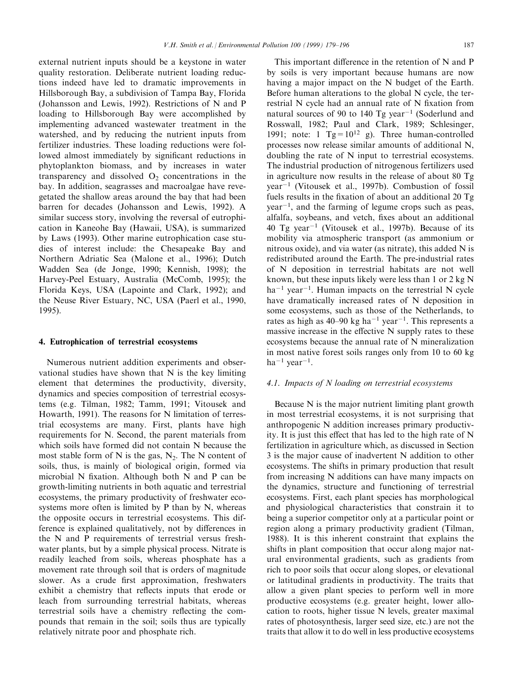external nutrient inputs should be a keystone in water quality restoration. Deliberate nutrient loading reductions indeed have led to dramatic improvements in Hillsborough Bay, a subdivision of Tampa Bay, Florida (Johansson and Lewis, 1992). Restrictions of N and P loading to Hillsborough Bay were accomplished by implementing advanced wastewater treatment in the watershed, and by reducing the nutrient inputs from fertilizer industries. These loading reductions were followed almost immediately by significant reductions in phytoplankton biomass, and by increases in water transparency and dissolved  $O<sub>2</sub>$  concentrations in the bay. In addition, seagrasses and macroalgae have revegetated the shallow areas around the bay that had been barren for decades (Johansson and Lewis, 1992). A similar success story, involving the reversal of eutrophication in Kaneohe Bay (Hawaii, USA), is summarized by Laws (1993). Other marine eutrophication case studies of interest include: the Chesapeake Bay and Northern Adriatic Sea (Malone et al., 1996); Dutch Wadden Sea (de Jonge, 1990; Kennish, 1998); the Harvey-Peel Estuary, Australia (McComb, 1995); the Florida Keys, USA (Lapointe and Clark, 1992); and the Neuse River Estuary, NC, USA (Paerl et al., 1990, 1995).

### 4. Eutrophication of terrestrial ecosystems

Numerous nutrient addition experiments and observational studies have shown that N is the key limiting element that determines the productivity, diversity, dynamics and species composition of terrestrial ecosystems (e.g. Tilman, 1982; Tamm, 1991; Vitousek and Howarth, 1991). The reasons for N limitation of terrestrial ecosystems are many. First, plants have high requirements for N. Second, the parent materials from which soils have formed did not contain N because the most stable form of N is the gas,  $N_2$ . The N content of soils, thus, is mainly of biological origin, formed via microbial  $N$  fixation. Although both  $N$  and  $P$  can be growth-limiting nutrients in both aquatic and terrestrial ecosystems, the primary productivity of freshwater ecosystems more often is limited by P than by N, whereas the opposite occurs in terrestrial ecosystems. This difference is explained qualitatively, not by differences in the N and P requirements of terrestrial versus freshwater plants, but by a simple physical process. Nitrate is readily leached from soils, whereas phosphate has a movement rate through soil that is orders of magnitude slower. As a crude first approximation, freshwaters exhibit a chemistry that reflects inputs that erode or leach from surrounding terrestrial habitats, whereas terrestrial soils have a chemistry reflecting the compounds that remain in the soil; soils thus are typically relatively nitrate poor and phosphate rich.

This important difference in the retention of N and P by soils is very important because humans are now having a major impact on the N budget of the Earth. Before human alterations to the global N cycle, the terrestrial N cycle had an annual rate of N fixation from natural sources of 90 to 140 Tg year<sup> $-1$ </sup> (Soderlund and Rosswall, 1982; Paul and Clark, 1989; Schlesinger, 1991; note: 1  $Tg = 10^{12}$  g). Three human-controlled processes now release similar amounts of additional N, doubling the rate of N input to terrestrial ecosystems. The industrial production of nitrogenous fertilizers used in agriculture now results in the release of about 80 Tg  $year<sup>-1</sup>$  (Vitousek et al., 1997b). Combustion of fossil fuels results in the fixation of about an additional  $20$  Tg  $year<sup>-1</sup>$ , and the farming of legume crops such as peas, alfalfa, soybeans, and vetch, fixes about an additional 40 Tg year<sup> $-1$ </sup> (Vitousek et al., 1997b). Because of its mobility via atmospheric transport (as ammonium or nitrous oxide), and via water (as nitrate), this added N is redistributed around the Earth. The pre-industrial rates of N deposition in terrestrial habitats are not well known, but these inputs likely were less than 1 or 2 kg N  $ha^{-1}$  year<sup>-1</sup>. Human impacts on the terrestrial N cycle have dramatically increased rates of N deposition in some ecosystems, such as those of the Netherlands, to rates as high as  $40-90$  kg ha<sup>-1</sup> year<sup>-1</sup>. This represents a massive increase in the effective  $N$  supply rates to these ecosystems because the annual rate of N mineralization in most native forest soils ranges only from 10 to 60 kg ha<sup>-1</sup> year<sup>-1</sup>.

# 4.1. Impacts of N loading on terrestrial ecosystems

Because N is the major nutrient limiting plant growth in most terrestrial ecosystems, it is not surprising that anthropogenic N addition increases primary productivity. It is just this effect that has led to the high rate of  $N$ fertilization in agriculture which, as discussed in Section 3 is the major cause of inadvertent N addition to other ecosystems. The shifts in primary production that result from increasing N additions can have many impacts on the dynamics, structure and functioning of terrestrial ecosystems. First, each plant species has morphological and physiological characteristics that constrain it to being a superior competitor only at a particular point or region along a primary productivity gradient (Tilman, 1988). It is this inherent constraint that explains the shifts in plant composition that occur along major natural environmental gradients, such as gradients from rich to poor soils that occur along slopes, or elevational or latitudinal gradients in productivity. The traits that allow a given plant species to perform well in more productive ecosystems (e.g. greater height, lower allocation to roots, higher tissue N levels, greater maximal rates of photosynthesis, larger seed size, etc.) are not the traits that allow it to do well in less productive ecosystems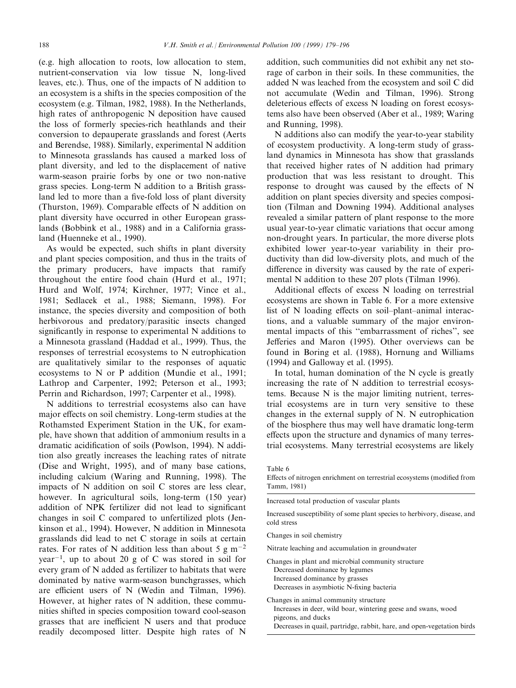(e.g. high allocation to roots, low allocation to stem, nutrient-conservation via low tissue N, long-lived leaves, etc.). Thus, one of the impacts of N addition to an ecosystem is a shifts in the species composition of the ecosystem (e.g. Tilman, 1982, 1988). In the Netherlands, high rates of anthropogenic N deposition have caused the loss of formerly species-rich heathlands and their conversion to depauperate grasslands and forest (Aerts and Berendse, 1988). Similarly, experimental N addition to Minnesota grasslands has caused a marked loss of plant diversity, and led to the displacement of native warm-season prairie forbs by one or two non-native grass species. Long-term N addition to a British grassland led to more than a five-fold loss of plant diversity (Thurston, 1969). Comparable effects of  $N$  addition on plant diversity have occurred in other European grasslands (Bobbink et al., 1988) and in a California grassland (Huenneke et al., 1990).

As would be expected, such shifts in plant diversity and plant species composition, and thus in the traits of the primary producers, have impacts that ramify throughout the entire food chain (Hurd et al., 1971; Hurd and Wolf, 1974; Kirchner, 1977; Vince et al., 1981; Sedlacek et al., 1988; Siemann, 1998). For instance, the species diversity and composition of both herbivorous and predatory/parasitic insects changed significantly in response to experimental N additions to a Minnesota grassland (Haddad et al., 1999). Thus, the responses of terrestrial ecosystems to N eutrophication are qualitatively similar to the responses of aquatic ecosystems to N or P addition (Mundie et al., 1991; Lathrop and Carpenter, 1992; Peterson et al., 1993; Perrin and Richardson, 1997; Carpenter et al., 1998).

N additions to terrestrial ecosystems also can have major effects on soil chemistry. Long-term studies at the Rothamsted Experiment Station in the UK, for example, have shown that addition of ammonium results in a dramatic acidification of soils (Powlson, 1994). N addition also greatly increases the leaching rates of nitrate (Dise and Wright, 1995), and of many base cations, including calcium (Waring and Running, 1998). The impacts of N addition on soil C stores are less clear, however. In agricultural soils, long-term (150 year) addition of NPK fertilizer did not lead to significant changes in soil C compared to unfertilized plots (Jenkinson et al., 1994). However, N addition in Minnesota grasslands did lead to net C storage in soils at certain rates. For rates of N addition less than about 5 g m<sup> $-2$ </sup>  $year^{-1}$ , up to about 20 g of C was stored in soil for every gram of N added as fertilizer to habitats that were dominated by native warm-season bunchgrasses, which are efficient users of N (Wedin and Tilman, 1996). However, at higher rates of N addition, these communities shifted in species composition toward cool-season grasses that are inefficient N users and that produce readily decomposed litter. Despite high rates of N

addition, such communities did not exhibit any net storage of carbon in their soils. In these communities, the added N was leached from the ecosystem and soil C did not accumulate (Wedin and Tilman, 1996). Strong deleterious effects of excess N loading on forest ecosystems also have been observed (Aber et al., 1989; Waring and Running, 1998).

N additions also can modify the year-to-year stability of ecosystem productivity. A long-term study of grassland dynamics in Minnesota has show that grasslands that received higher rates of N addition had primary production that was less resistant to drought. This response to drought was caused by the effects of  $N$ addition on plant species diversity and species composition (Tilman and Downing 1994). Additional analyses revealed a similar pattern of plant response to the more usual year-to-year climatic variations that occur among non-drought years. In particular, the more diverse plots exhibited lower year-to-year variability in their productivity than did low-diversity plots, and much of the difference in diversity was caused by the rate of experimental N addition to these 207 plots (Tilman 1996).

Additional effects of excess  $N$  loading on terrestrial ecosystems are shown in Table 6. For a more extensive list of N loading effects on soil-plant-animal interactions, and a valuable summary of the major environmental impacts of this "embarrassment of riches", see Jefferies and Maron (1995). Other overviews can be found in Boring et al. (1988), Hornung and Williams (1994) and Galloway et al. (1995).

In total, human domination of the N cycle is greatly increasing the rate of N addition to terrestrial ecosystems. Because N is the major limiting nutrient, terrestrial ecosystems are in turn very sensitive to these changes in the external supply of N. N eutrophication of the biosphere thus may well have dramatic long-term effects upon the structure and dynamics of many terrestrial ecosystems. Many terrestrial ecosystems are likely

Increased total production of vascular plants

Increased susceptibility of some plant species to herbivory, disease, and cold stress

Changes in soil chemistry

Nitrate leaching and accumulation in groundwater

- Changes in plant and microbial community structure Decreased dominance by legumes Increased dominance by grasses Decreases in asymbiotic N-fixing bacteria
- Changes in animal community structure Increases in deer, wild boar, wintering geese and swans, wood pigeons, and ducks Decreases in quail, partridge, rabbit, hare, and open-vegetation birds

Table 6

Effects of nitrogen enrichment on terrestrial ecosystems (modified from Tamm, 1981)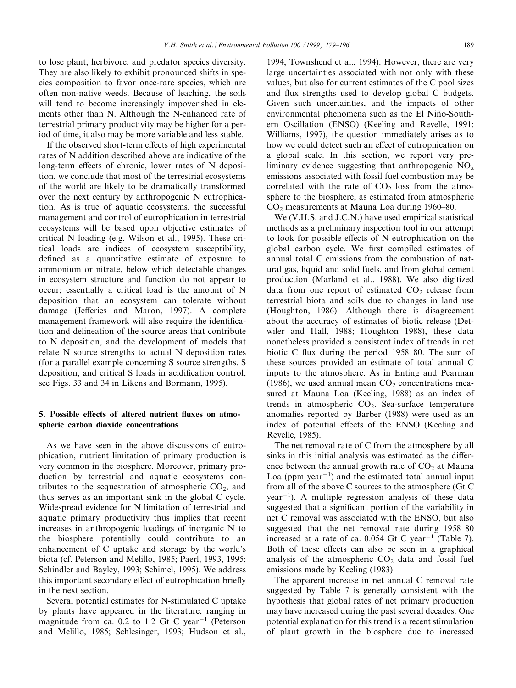to lose plant, herbivore, and predator species diversity. They are also likely to exhibit pronounced shifts in species composition to favor once-rare species, which are often non-native weeds. Because of leaching, the soils will tend to become increasingly impoverished in elements other than N. Although the N-enhanced rate of terrestrial primary productivity may be higher for a period of time, it also may be more variable and less stable.

If the observed short-term effects of high experimental rates of N addition described above are indicative of the long-term effects of chronic, lower rates of N deposition, we conclude that most of the terrestrial ecosystems of the world are likely to be dramatically transformed over the next century by anthropogenic N eutrophication. As is true of aquatic ecosystems, the successful management and control of eutrophication in terrestrial ecosystems will be based upon objective estimates of critical N loading (e.g. Wilson et al., 1995). These critical loads are indices of ecosystem susceptibility, defined as a quantitative estimate of exposure to ammonium or nitrate, below which detectable changes in ecosystem structure and function do not appear to occur; essentially a critical load is the amount of N deposition that an ecosystem can tolerate without damage (Jefferies and Maron, 1997). A complete management framework will also require the identification and delineation of the source areas that contribute to N deposition, and the development of models that relate N source strengths to actual N deposition rates (for a parallel example concerning S source strengths, S deposition, and critical S loads in acidification control, see Figs. 33 and 34 in Likens and Bormann, 1995).

# 5. Possible effects of altered nutrient fluxes on atmospheric carbon dioxide concentrations

As we have seen in the above discussions of eutrophication, nutrient limitation of primary production is very common in the biosphere. Moreover, primary production by terrestrial and aquatic ecosystems contributes to the sequestration of atmospheric  $CO<sub>2</sub>$ , and thus serves as an important sink in the global C cycle. Widespread evidence for N limitation of terrestrial and aquatic primary productivity thus implies that recent increases in anthropogenic loadings of inorganic N to the biosphere potentially could contribute to an enhancement of C uptake and storage by the world's biota (cf. Peterson and Melillo, 1985; Paerl, 1993, 1995; Schindler and Bayley, 1993; Schimel, 1995). We address this important secondary effect of eutrophication briefly in the next section.

Several potential estimates for N-stimulated C uptake by plants have appeared in the literature, ranging in magnitude from ca. 0.2 to 1.2 Gt C year<sup> $-1$ </sup> (Peterson and Melillo, 1985; Schlesinger, 1993; Hudson et al.,

1994; Townshend et al., 1994). However, there are very large uncertainties associated with not only with these values, but also for current estimates of the C pool sizes and flux strengths used to develop global  $C$  budgets. Given such uncertainties, and the impacts of other environmental phenomena such as the El Niño-Southern Oscillation (ENSO) (Keeling and Revelle, 1991; Williams, 1997), the question immediately arises as to how we could detect such an effect of eutrophication on a global scale. In this section, we report very preliminary evidence suggesting that anthropogenic  $NO<sub>x</sub>$ emissions associated with fossil fuel combustion may be correlated with the rate of  $CO<sub>2</sub>$  loss from the atmosphere to the biosphere, as estimated from atmospheric  $CO<sub>2</sub>$  measurements at Mauna Loa during 1960–80.

We (V.H.S. and J.C.N.) have used empirical statistical methods as a preliminary inspection tool in our attempt to look for possible effects of  $N$  eutrophication on the global carbon cycle. We first compiled estimates of annual total C emissions from the combustion of natural gas, liquid and solid fuels, and from global cement production (Marland et al., 1988). We also digitized data from one report of estimated  $CO<sub>2</sub>$  release from terrestrial biota and soils due to changes in land use (Houghton, 1986). Although there is disagreement about the accuracy of estimates of biotic release (Detwiler and Hall, 1988; Houghton 1988), these data nonetheless provided a consistent index of trends in net biotic C flux during the period  $1958-80$ . The sum of these sources provided an estimate of total annual C inputs to the atmosphere. As in Enting and Pearman (1986), we used annual mean  $CO<sub>2</sub>$  concentrations measured at Mauna Loa (Keeling, 1988) as an index of trends in atmospheric  $CO<sub>2</sub>$ . Sea-surface temperature anomalies reported by Barber (1988) were used as an index of potential effects of the ENSO (Keeling and Revelle, 1985).

The net removal rate of C from the atmosphere by all sinks in this initial analysis was estimated as the difference between the annual growth rate of  $CO<sub>2</sub>$  at Mauna Loa (ppm year $^{-1}$ ) and the estimated total annual input from all of the above C sources to the atmosphere (Gt C  $year<sup>-1</sup>$ ). A multiple regression analysis of these data suggested that a significant portion of the variability in net C removal was associated with the ENSO, but also suggested that the net removal rate during  $1958-80$ increased at a rate of ca.  $0.054$  Gt C year<sup>-1</sup> (Table 7). Both of these effects can also be seen in a graphical analysis of the atmospheric  $CO<sub>2</sub>$  data and fossil fuel emissions made by Keeling (1983).

The apparent increase in net annual C removal rate suggested by Table 7 is generally consistent with the hypothesis that global rates of net primary production may have increased during the past several decades. One potential explanation for this trend is a recent stimulation of plant growth in the biosphere due to increased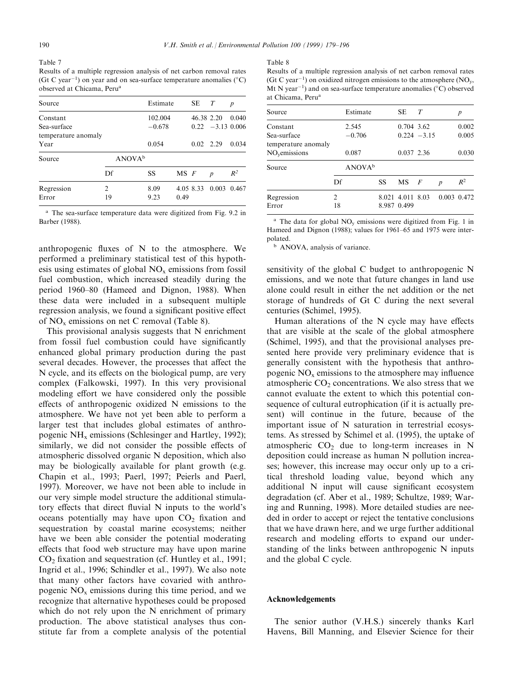Table 7

Results of a multiple regression analysis of net carbon removal rates (Gt C year<sup>-1</sup>) on year and on sea-surface temperature anomalies ( $^{\circ}$ C) observed at Chicama, Perua

| Source                      |         | Estimate            |          | SЕ          | T                  | p     |
|-----------------------------|---------|---------------------|----------|-------------|--------------------|-------|
| Constant<br>Sea-surface     |         | 102.004<br>$-0.678$ |          | 46.38 2.20  | $0.22 -3.13 0.006$ | 0.040 |
| temperature anomaly<br>Year | 0.054   |                     |          | $0.02$ 2.29 | 0.034              |       |
| Source                      |         | ANOVA <sup>b</sup>  |          |             |                    |       |
|                             | Df      | SS                  | $MS$ $F$ |             | $\boldsymbol{p}$   | $R^2$ |
| Regression<br>Error         | 2<br>19 | 8.09<br>9.23        | 0.49     | 4.05 8.33   | 0.003 0.467        |       |

<sup>a</sup> The sea-surface temperature data were digitized from Fig. 9.2 in Barber (1988).

anthropogenic fluxes of  $N$  to the atmosphere. We performed a preliminary statistical test of this hypothesis using estimates of global  $NO<sub>x</sub>$  emissions from fossil fuel combustion, which increased steadily during the period 1960–80 (Hameed and Dignon, 1988). When these data were included in a subsequent multiple regression analysis, we found a significant positive effect of NOx emissions on net C removal (Table 8).

This provisional analysis suggests that N enrichment from fossil fuel combustion could have significantly enhanced global primary production during the past several decades. However, the processes that affect the N cycle, and its effects on the biological pump, are very complex (Falkowski, 1997). In this very provisional modeling effort we have considered only the possible effects of anthropogenic oxidized  $N$  emissions to the atmosphere. We have not yet been able to perform a larger test that includes global estimates of anthropogenic NH<sub>y</sub> emissions (Schlesinger and Hartley, 1992); similarly, we did not consider the possible effects of atmospheric dissolved organic N deposition, which also may be biologically available for plant growth (e.g. Chapin et al., 1993; Paerl, 1997; Peierls and Paerl, 1997). Moreover, we have not been able to include in our very simple model structure the additional stimulatory effects that direct fluvial N inputs to the world's oceans potentially may have upon  $CO<sub>2</sub>$  fixation and sequestration by coastal marine ecosystems; neither have we been able consider the potential moderating effects that food web structure may have upon marine  $CO<sub>2</sub>$  fixation and sequestration (cf. Huntley et al., 1991; Ingrid et al., 1996; Schindler et al., 1997). We also note that many other factors have covaried with anthropogenic  $NO<sub>x</sub>$  emissions during this time period, and we recognize that alternative hypotheses could be proposed which do not rely upon the N enrichment of primary production. The above statistical analyses thus constitute far from a complete analysis of the potential

#### Table 8

Results of a multiple regression analysis of net carbon removal rates (Gt C year<sup>-1</sup>) on oxidized nitrogen emissions to the atmosphere (NO<sub>y</sub>, Mt N year<sup>-1</sup>) and on sea-surface temperature anomalies ( $\rm ^{\circ}C$ ) observed at Chicama, Perua

| Source                                 |         | Estimate           |    | SE.                             | T              |                  | р              |
|----------------------------------------|---------|--------------------|----|---------------------------------|----------------|------------------|----------------|
| Constant<br>Sea-surface                |         | 2.545<br>$-0.706$  |    | 0.704 3.62                      | $0.224 - 3.15$ |                  | 0.002<br>0.005 |
| temperature anomaly<br>$NOv$ emissions |         | 0.087              |    | 0.037 2.36                      |                |                  | 0.030          |
| Source                                 |         | ANOVA <sup>b</sup> |    |                                 |                |                  |                |
|                                        | Df      |                    | SS | $MS$ $F$                        |                | $\boldsymbol{p}$ | $R^2$          |
| Regression<br>Error                    | 2<br>18 |                    |    | 8.021 4.011 8.03<br>8.987 0.499 |                |                  | 0.003 0.472    |

<sup>a</sup> The data for global  $NO_v$  emissions were digitized from Fig. 1 in Hameed and Dignon (1988); values for 1961-65 and 1975 were interpolated.

<sup>b</sup> ANOVA, analysis of variance.

sensitivity of the global C budget to anthropogenic N emissions, and we note that future changes in land use alone could result in either the net addition or the net storage of hundreds of Gt C during the next several centuries (Schimel, 1995).

Human alterations of the  $N$  cycle may have effects that are visible at the scale of the global atmosphere (Schimel, 1995), and that the provisional analyses presented here provide very preliminary evidence that is generally consistent with the hypothesis that anthropogenic  $NO<sub>x</sub>$  emissions to the atmosphere may influence atmospheric  $CO<sub>2</sub>$  concentrations. We also stress that we cannot evaluate the extent to which this potential consequence of cultural eutrophication (if it is actually present) will continue in the future, because of the important issue of N saturation in terrestrial ecosystems. As stressed by Schimel et al. (1995), the uptake of atmospheric  $CO<sub>2</sub>$  due to long-term increases in N deposition could increase as human N pollution increases; however, this increase may occur only up to a critical threshold loading value, beyond which any additional N input will cause significant ecosystem degradation (cf. Aber et al., 1989; Schultze, 1989; Waring and Running, 1998). More detailed studies are needed in order to accept or reject the tentative conclusions that we have drawn here, and we urge further additional research and modeling efforts to expand our understanding of the links between anthropogenic N inputs and the global C cycle.

## Acknowledgements

The senior author (V.H.S.) sincerely thanks Karl Havens, Bill Manning, and Elsevier Science for their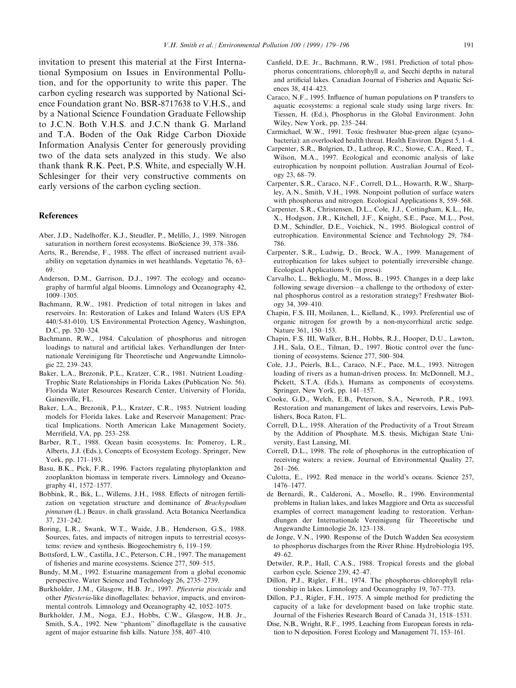invitation to present this material at the First International Symposium on Issues in Environmental Pollution, and for the opportunity to write this paper. The carbon cycling research was supported by National Science Foundation grant No. BSR-8717638 to V.H.S., and by a National Science Foundation Graduate Fellowship to J.C.N. Both V.H.S. and J.C.N thank G. Marland and T.A. Boden of the Oak Ridge Carbon Dioxide Information Analysis Center for generously providing two of the data sets analyzed in this study. We also thank thank R.K. Peet, P.S. White, and especially W.H. Schlesinger for their very constructive comments on early versions of the carbon cycling section.

## References

- Aber, J.D., Nadelhoffer, K.J., Steudler, P., Melillo, J., 1989. Nitrogen saturation in northern forest ecosystems. BioScience 39, 378-386.
- Aerts, R., Berendse, F., 1988. The effect of increased nutrient availability on vegetation dynamics in wet heathlands. Vegetatio 76, 63 69.
- Anderson, D.M., Garrison, D.J., 1997. The ecology and oceanography of harmful algal blooms. Limnology and Oceanography 42, 1009±1305.
- Bachmann, R.W., 1981. Prediction of total nitrogen in lakes and reservoirs. In: Restoration of Lakes and Inland Waters (US EPA 440/5-81-010). US Environmental Protection Agency, Washington, D.C, pp. 320-324.
- Bachmann, R.W., 1984. Calculation of phosphorus and nitrogen loadings to natural and artificial lakes. Verhandlungen der Internationale Vereinigung für Theoretische und Angewandte Limnologie 22, 239-243.
- Baker, L.A., Brezonik, P.L., Kratzer, C.R., 1981. Nutrient Loading-Trophic State Relationships in Florida Lakes (Publication No. 56). Florida Water Resources Research Center, University of Florida, Gainesville, FL.
- Baker, L.A., Brezonik, P.L., Kratzer, C.R., 1985. Nutrient loading models for Florida lakes. Lake and Reservoir Management: Practical Implications. North American Lake Management Society, Merrifield, VA, pp. 253-258.
- Barber, R.T., 1988. Ocean basin ecosystems. In: Pomeroy, L.R., Alberts, J.J. (Eds.), Concepts of Ecosystem Ecology. Springer, New York, pp. 171–193.
- Basu, B.K., Pick, F.R., 1996. Factors regulating phytoplankton and zooplankton biomass in temperate rivers. Limnology and Oceanography 41, 1572-1577.
- Bobbink, R., Bik, L., Willems, J.H., 1988. Effects of nitrogen fertilization on vegetation structure and dominance of Brachypodium pinnatum (L.) Beauv. in chalk grassland. Acta Botanica Neerlandica 37, 231±242.
- Boring, L.R., Swank, W.T., Waide, J.B., Henderson, G.S., 1988. Sources, fates, and impacts of nitrogen inputs to terrestrial ecosystems: review and synthesis. Biogeochemistry  $6$ , 119-159.
- Bottsford, L.W., Castilla, J.C., Peterson, C.H., 1997. The management of fisheries and marine ecosystems. Science 277, 509-515.
- Bundy, M.M., 1992. Estuarine management from a global economic perspective. Water Science and Technology 26, 2735–2739.
- Burkholder, J.M., Glasgow, H.B. Jr., 1997. Pfiesteria piscicida and other *Pfiesteria*-like dinoflagellates: behavior, impacts, and environmental controls. Limnology and Oceanography 42, 1052-1075.
- Burkholder, J.M., Noga, E.J., Hobbs, C.W., Glasgow, H.B. Jr., Smith, S.A., 1992. New "phantom" dinoflagellate is the causative agent of major estuarine fish kills. Nature 358, 407-410.
- Canfield, D.E. Jr., Bachmann, R.W., 1981. Prediction of total phosphorus concentrations, chlorophyll a, and Secchi depths in natural and artificial lakes. Canadian Journal of Fisheries and Aquatic Sciences 38, 414-423.
- Caraco, N.F., 1995. Influence of human populations on P transfers to aquatic ecosystems: a regional scale study using large rivers. In: Tiessen, H. (Ed.), Phosphorus in the Global Environment. John Wiley, New York, pp. 235-244.
- Carmichael, W.W., 1991. Toxic freshwater blue-green algae (cyanobacteria): an overlooked health threat. Health Environ. Digest 5, 1-4.
- Carpenter, S.R., Bolgrien, D., Lathrop, R.C., Stowe, C.A., Reed, T., Wilson, M.A., 1997. Ecological and economic analysis of lake eutrophication by nonpoint pollution. Australian Journal of Ecology 23, 68-79.
- Carpenter, S.R., Caraco, N.F., Correll, D.L., Howarth, R.W., Sharpley, A.N., Smith, V.H., 1998. Nonpoint pollution of surface waters with phosphorus and nitrogen. Ecological Applications 8, 559-568.
- Carpenter, S.R., Christensen, D.L., Cole, J.J., Cottingham, K.L., He, X., Hodgson, J.R., Kitchell, J.F., Knight, S.E., Pace, M.L., Post, D.M., Schindler, D.E., Voichick, N., 1995. Biological control of eutrophication. Environmental Science and Technology 29, 784-786.
- Carpenter, S.R., Ludwig, D., Brock, W.A., 1999. Management of eutrophication for lakes subject to potentially irreversible change. Ecological Applications 9, (in press).
- Carvalho, L., Beklioglu, M., Moss, B., 1995. Changes in a deep lake following sewage diversion—a challenge to the orthodoxy of external phosphorus control as a restoration strategy? Freshwater Biology 34, 399-410.
- Chapin, F.S. III, Moilanen, L., Kielland, K., 1993. Preferential use of organic nitrogen for growth by a non-mycorrhizal arctic sedge. Nature 361, 150-153.
- Chapin, F.S. III, Walker, B.H., Hobbs, R.J., Hooper, D.U., Lawton, J.H., Sala, O.E., Tilman, D., 1997. Biotic control over the functioning of ecosystems. Science 277, 500-504.
- Cole, J.J., Peierls, B.L., Caraco, N.F., Pace, M.L., 1993. Nitrogen loading of rivers as a human-driven process. In: McDonnell, M.J., Pickett, S.T.A. (Eds.), Humans as components of ecosystems. Springer, New York, pp. 141-157.
- Cooke, G.D., Welch, E.B., Peterson, S.A., Newroth, P.R., 1993. Restoration and manangement of lakes and reservoirs, Lewis Publishers, Boca Raton, FL.
- Correll, D.L., 1958. Alteration of the Productivity of a Trout Stream by the Addition of Phosphate. M.S. thesis, Michigan State University, East Lansing, MI.
- Correll, D.L., 1998. The role of phosphorus in the eutrophication of receiving waters: a review. Journal of Environmental Quality 27,  $261 - 266$ .
- Culotta, E., 1992. Red menace in the world's oceans. Science 257, 1476±1477.
- de Bernardi, R., Calderoni, A., Mosello, R., 1996. Environmental problems in Italian lakes, and lakes Maggiore and Orta as successful examples of correct management leading to restoration. Verhandlungen der Internationale Vereinigung für Theoretische und Angewandte Limnologie 26, 123-138.
- de Jonge, V.N., 1990. Response of the Dutch Wadden Sea ecosystem to phosphorus discharges from the River Rhine. Hydrobiologia 195,  $49-62.$
- Detwiler, R.P., Hall, C.A.S., 1988. Tropical forests and the global carbon cycle. Science 239, 42-47.
- Dillon, P.J., Rigler, F.H., 1974. The phosphorus-chlorophyll relationship in lakes. Limnology and Oceanography 19,  $767-773$ .
- Dillon, P.J., Rigler, F.H., 1975. A simple method for predicting the capacity of a lake for development based on lake trophic state. Journal of the Fisheries Research Board of Canada 31, 1518-1531.
- Dise, N.B., Wright, R.F., 1995. Leaching from European forests in relation to N deposition. Forest Ecology and Management 71, 153-161.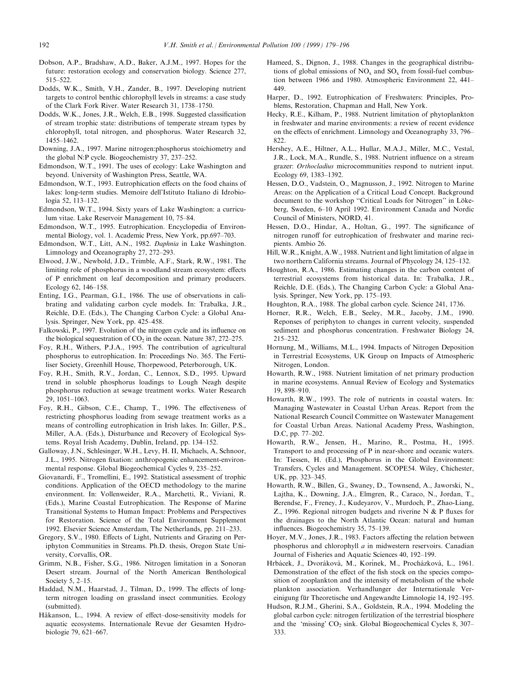- Dobson, A.P., Bradshaw, A.D., Baker, A.J.M., 1997. Hopes for the future: restoration ecology and conservation biology. Science 277, 515±522.
- Dodds, W.K., Smith, V.H., Zander, B., 1997. Developing nutrient targets to control benthic chlorophyll levels in streams: a case study of the Clark Fork River. Water Research 31, 1738-1750.
- Dodds, W.K., Jones, J.R., Welch, E.B., 1998. Suggested classification of stream trophic state: distributions of temperate stream types by chlorophyll, total nitrogen, and phosphorus. Water Research 32, 1455±1462.
- Downing, J.A., 1997. Marine nitrogen:phosphorus stoichiometry and the global N:P cycle. Biogeochemistry  $37, 237-252$ .
- Edmondson, W.T., 1991. The uses of ecology: Lake Washington and beyond. University of Washington Press, Seattle, WA.
- Edmondson, W.T., 1993. Eutrophication effects on the food chains of lakes: long-term studies. Memoire dell'Istituto Italiano di Idrobiologia 52, 113-132.
- Edmondson, W.T., 1994. Sixty years of Lake Washington: a curriculum vitae. Lake Reservoir Management 10, 75-84.
- Edmondson, W.T., 1995. Eutrophication. Encyclopedia of Environmental Biology, vol. 1. Academic Press, New York, pp.697-703.
- Edmondson, W.T., Litt, A.N., 1982. Daphnia in Lake Washington. Limnology and Oceanography 27, 272-293.
- Elwood, J.W., Newbold, J.D., Trimble, A.F., Stark, R.W., 1981. The limiting role of phosphorus in a woodland stream ecosystem: effects of P enrichment on leaf decomposition and primary producers. Ecology 62, 146-158.
- Enting, I.G., Pearman, G.I., 1986. The use of observations in calibrating and validating carbon cycle models. In: Trabalka, J.R., Reichle, D.E. (Eds.), The Changing Carbon Cycle: a Global Analysis. Springer, New York, pp. 425-458.
- Falkowski, P., 1997. Evolution of the nitrogen cycle and its influence on the biological sequestration of  $CO<sub>2</sub>$  in the ocean. Nature 387, 272–275.
- Foy, R.H., Withers, P.J.A., 1995. The contribution of agricultural phosphorus to eutrophication. In: Proceedings No. 365. The Fertiliser Society, Greenhill House, Thorpewood, Peterborough, UK.
- Foy, R.H., Smith, R.V., Jordan, C., Lennox, S.D., 1995. Upward trend in soluble phosphorus loadings to Lough Neagh despite phosphorus reduction at sewage treatment works. Water Research 29, 1051±1063.
- Foy, R.H., Gibson, C.E., Champ, T., 1996. The effectiveness of restricting phosphorus loading from sewage treatment works as a means of controlling eutrophication in Irish lakes. In: Giller, P.S., Miller, A.A. (Eds.), Disturbance and Recovery of Ecological Systems. Royal Irish Academy, Dublin, Ireland, pp. 134-152.
- Galloway, J.N., Schlesinger, W.H., Levy, H. II, Michaels, A, Schnoor, J.L., 1995. Nitrogen fixation: anthropogenic enhancement-environmental response. Global Biogeochemical Cycles 9, 235-252.
- Giovanardi, F., Tromellini, E., 1992. Statistical assessment of trophic conditions. Application of the OECD methodology to the marine environment. In: Vollenweider, R.A., Marchetti, R., Viviani, R. (Eds.), Marine Coastal Eutrophication. The Response of Marine Transitional Systems to Human Impact: Problems and Perspectives for Restoration. Science of the Total Environment Supplement 1992. Elsevier Science Amsterdam, The Netherlands, pp. 211-233.
- Gregory, S.V., 1980. Effects of Light, Nutrients and Grazing on Periphyton Communities in Streams. Ph.D. thesis, Oregon State University, Corvallis, OR.
- Grimm, N.B., Fisher, S.G., 1986. Nitrogen limitation in a Sonoran Desert stream. Journal of the North American Benthological Society  $5, 2-15$ .
- Haddad, N.M., Haarstad, J., Tilman, D., 1999. The effects of longterm nitrogen loading on grassland insect communities. Ecology (submitted).
- Håkanson, L., 1994. A review of effect-dose-sensitivity models for aquatic ecosystems. Internationale Revue der Gesamten Hydrobiologie 79, 621-667.
- Hameed, S., Dignon, J., 1988. Changes in the geographical distributions of global emissions of  $NO<sub>x</sub>$  and  $SO<sub>x</sub>$  from fossil-fuel combustion between 1966 and 1980. Atmospheric Environment 22, 441-449.
- Harper, D., 1992. Eutrophication of Freshwaters: Principles, Problems, Restoration, Chapman and Hall, New York.
- Hecky, R.E., Kilham, P., 1988. Nutrient limitation of phytoplankton in freshwater and marine environments: a review of recent evidence on the effects of enrichment. Limnology and Oceanography 33, 796-822.
- Hershey, A.E., Hiltner, A.L., Hullar, M.A.J., Miller, M.C., Vestal, J.R., Lock, M.A., Rundle, S., 1988. Nutrient influence on a stream grazer: Orthocladius microcommunities respond to nutrient input. Ecology 69, 1383-1392.
- Hessen, D.O., Vadstein, O., Magnusson, J., 1992. Nitrogen to Marine Areas: on the Application of a Critical Load Concept. Background document to the workshop "Critical Loads for Nitrogen" in Lökeberg, Sweden, 6-10 April 1992. Environment Canada and Nordic Council of Ministers, NORD, 41.
- Hessen, D.O., Hindar, A., Holtan, G., 1997. The significance of nitrogen runoff for eutrophication of freshwater and marine recipients. Ambio 26.
- Hill, W.R., Knight, A.W., 1988. Nutrient and light limitation of algae in two northern California streams. Journal of Phycology 24, 125–132.
- Houghton, R.A., 1986. Estimating changes in the carbon content of terrestrial ecosystems from historical data. In: Trabalka, J.R., Reichle, D.E. (Eds.), The Changing Carbon Cycle: a Global Analysis. Springer, New York, pp. 175-193.
- Houghton, R.A., 1988. The global carbon cycle. Science 241, 1736.
- Horner, R.R., Welch, E.B., Seeley, M.R., Jacoby, J.M., 1990. Reponses of periphyton to changes in current velocity, suspended sediment and phosphorus concentration. Freshwater Biology 24, 215±232.
- Hornung, M., Williams, M.L., 1994. Impacts of Nitrogen Deposition in Terrestrial Ecosystems, UK Group on Impacts of Atmospheric Nitrogen, London.
- Howarth, R.W., 1988. Nutrient limitation of net primary production in marine ecosystems. Annual Review of Ecology and Systematics 19, 898±910.
- Howarth, R.W., 1993. The role of nutrients in coastal waters. In: Managing Wastewater in Coastal Urban Areas. Report from the National Research Council Committee on Wastewater Management for Coastal Urban Areas. National Academy Press, Washington, D.C. pp. 77–202.
- Howarth, R.W., Jensen, H., Marino, R., Postma, H., 1995. Transport to and processing of P in near-shore and oceanic waters. In: Tiessen, H. (Ed.), Phosphorus in the Global Environment: Transfers, Cycles and Management. SCOPE54. Wiley, Chichester, UK, pp. 323-345.
- Howarth, R.W., Billen, G., Swaney, D., Townsend, A., Jaworski, N., Lajtha, K., Downing, J.A., Elmgren, R., Caraco, N., Jordan, T., Berendse, F., Freney, J., Kudeyarov, V., Murdoch, P., Zhao-Liang, Z., 1996. Regional nitrogen budgets and riverine  $N \& P$  fluxes for the drainages to the North Atlantic Ocean: natural and human influences. Biogeochemistry 35, 75-139.
- Hoyer, M.V., Jones, J.R., 1983. Factors affecting the relation between phosphorus and chlorophyll a in midwestern reservoirs. Canadian Journal of Fisheries and Aquatic Sciences 40, 192-199.
- Hrbácek, J., Dvoráková, M., Korínek, M., Procházková, L., 1961. Demonstration of the effect of the fish stock on the species composition of zooplankton and the intensity of metabolism of the whole plankton association. Verhandlunger der Internationale Vereinigung für Theoretische und Angewandte Limnologie 14, 192–195.
- Hudson, R.J.M., Gherini, S.A., Goldstein, R.A., 1994. Modeling the global carbon cycle: nitrogen fertilization of the terrestrial biosphere and the 'missing'  $CO<sub>2</sub>$  sink. Global Biogeochemical Cycles 8, 307 $-$ 333.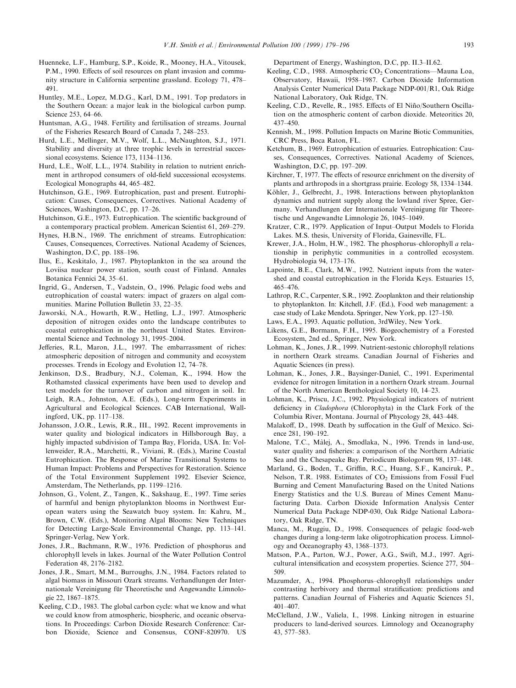- Huenneke, L.F., Hamburg, S.P., Koide, R., Mooney, H.A., Vitousek, P.M., 1990. Effects of soil resources on plant invasion and community structure in California serpentine grassland. Ecology 71, 478 $-$ 491.
- Huntley, M.E., Lopez, M.D.G., Karl, D.M., 1991. Top predators in the Southern Ocean: a major leak in the biological carbon pump. Science 253, 64-66.
- Huntsman, A.G., 1948. Fertility and fertilisation of streams. Journal of the Fisheries Research Board of Canada 7, 248-253.
- Hurd, L.E., Mellinger, M.V., Wolf, L.L., McNaughton, S.J., 1971. Stability and diversity at three trophic levels in terrestrial successional ecosystems. Science 173, 1134-1136.
- Hurd, L.E., Wolf, L.L., 1974. Stability in relation to nutrient enrichment in arthropod consumers of old-field successional ecosystems. Ecological Monographs 44, 465-482.
- Hutchinson, G.E., 1969. Eutrophication, past and present. Eutrophication: Causes, Consequences, Correctives. National Academy of Sciences, Washington, D.C, pp. 17-26.
- Hutchinson, G.E., 1973. Eutrophication. The scientific background of a contemporary practical problem. American Scientist 61, 269-279.
- Hynes, H.B.N., 1969. The enrichment of streams. Eutrophication: Causes, Consequences, Correctives. National Academy of Sciences, Washington, D.C, pp. 188-196.
- Ilus, E., Keskitalo, J., 1987. Phytoplankton in the sea around the Loviisa nuclear power station, south coast of Finland. Annales Botanica Fennici 24, 35-61.
- Ingrid, G., Andersen, T., Vadstein, O., 1996. Pelagic food webs and eutrophication of coastal waters: impact of grazers on algal communities. Marine Pollution Bulletin 33, 22–35.
- Jaworski, N.A., Howarth, R.W., Hetling, L.J., 1997. Atmospheric deposition of nitrogen oxides onto the landscape contributes to coastal eutrophication in the northeast United States. Environmental Science and Technology 31, 1995-2004.
- Jefferies, R.L, Maron, J.L., 1997. The embarrassment of riches: atmospheric deposition of nitrogen and community and ecosystem processes. Trends in Ecology and Evolution 12, 74–78.
- Jenkinson, D.S., Bradbury, N.J., Coleman, K., 1994. How the Rothamsted classical experiments have been used to develop and test models for the turnover of carbon and nitrogen in soil. In: Leigh, R.A., Johnston, A.E. (Eds.), Long-term Experiments in Agricultural and Ecological Sciences. CAB International, Wallingford, UK, pp.  $117-138$ .
- Johansson, J.O.R., Lewis, R.R., III., 1992. Recent improvements in water quality and biological indicators in Hillsborough Bay, a highly impacted subdivision of Tampa Bay, Florida, USA. In: Vollenweider, R.A., Marchetti, R., Viviani, R. (Eds.), Marine Coastal Eutrophication. The Response of Marine Transitional Systems to Human Impact: Problems and Perspectives for Restoration. Science of the Total Environment Supplement 1992. Elsevier Science, Amsterdam, The Netherlands, pp. 1199-1216.
- Johnson, G., Volent, Z., Tangen, K., Sakshaug, E., 1997. Time series of harmful and benign phytoplankton blooms in Northwest European waters using the Seawatch buoy system. In: Kahru, M., Brown, C.W. (Eds.), Monitoring Algal Blooms: New Techniques for Detecting Large-Scale Environmental Change, pp. 113-141. Springer-Verlag, New York.
- Jones, J.R., Bachmann, R.W., 1976. Prediction of phosphorus and chlorophyll levels in lakes. Journal of the Water Pollution Control Federation 48, 2176-2182.
- Jones, J.R., Smart, M.M., Burroughs, J.N., 1984. Factors related to algal biomass in Missouri Ozark streams. Verhandlungen der Internationale Vereinigung für Theoretische und Angewandte Limnologie 22, 1867-1875.
- Keeling, C.D., 1983. The global carbon cycle: what we know and what we could know from atmospheric, biospheric, and oceanic observations. In Proceedings: Carbon Dioxide Research Conference: Carbon Dioxide, Science and Consensus, CONF-820970. US

Department of Energy, Washington, D.C, pp. II.3-II.62.

- Keeling, C.D., 1988. Atmospheric CO<sub>2</sub> Concentrations–Mauna Loa, Observatory, Hawaii, 1958-1987. Carbon Dioxide Information Analysis Center Numerical Data Package NDP-001/R1, Oak Ridge National Laboratory, Oak Ridge, TN.
- Keeling, C.D., Revelle, R., 1985. Effects of El Niño/Southern Oscillation on the atmospheric content of carbon dioxide. Meteoritics 20, 437±450.
- Kennish, M., 1998. Pollution Impacts on Marine Biotic Communities, CRC Press, Boca Raton, FL.
- Ketchum, B., 1969. Eutrophication of estuaries. Eutrophication: Causes, Consequences, Correctives. National Academy of Sciences, Washington, D.C, pp. 197-209.
- Kirchner, T, 1977. The effects of resource enrichment on the diversity of plants and arthropods in a shortgrass prairie. Ecology 58, 1334–1344.
- Köhler, J., Gelbrecht, J., 1998. Interactions between phytoplankton dynamics and nutrient supply along the lowland river Spree, Germany. Verhandlungen der Internationale Vereinigung für Theoretische und Angewandte Limnologie 26, 1045-1049.
- Kratzer, C.R., 1979. Application of Input-Output Models to Florida Lakes. M.S. thesis, University of Florida, Gainesville, FL.
- Krewer, J.A., Holm, H.W., 1982. The phosphorus-chlorophyll a relationship in periphytic communities in a controlled ecosystem. Hydrobiologia 94, 173-176.
- Lapointe, B.E., Clark, M.W., 1992. Nutrient inputs from the watershed and coastal eutrophication in the Florida Keys. Estuaries 15, 465±476.
- Lathrop, R.C., Carpenter, S.R., 1992. Zooplankton and their relationship to phytoplankton. In: Kitchell, J.F. (Ed.), Food web management: a case study of Lake Mendota. Springer, New York, pp. 127–150.
- Laws, E.A., 1993. Aquatic pollution, 3rdWiley, New York.
- Likens, G.E., Bormann, F.H., 1995. Biogeochemistry of a Forested Ecosystem, 2nd ed., Springer, New York.
- Lohman, K., Jones, J.R., 1999. Nutrient-sestonic chlorophyll relations in northern Ozark streams. Canadian Journal of Fisheries and Aquatic Sciences (in press).
- Lohman, K., Jones, J.R., Baysinger-Daniel, C., 1991. Experimental evidence for nitrogen limitation in a northern Ozark stream. Journal of the North American Benthological Society 10, 14-23.
- Lohman, K., Priscu, J.C., 1992. Physiological indicators of nutrient deficiency in *Cladophora* (Chlorophyta) in the Clark Fork of the Columbia River, Montana. Journal of Phycology 28, 443-448.
- Malakoff, D., 1998. Death by suffocation in the Gulf of Mexico. Science 281, 190-192.
- Malone, T.C., Màlej, A., Smodlaka, N., 1996. Trends in land-use, water quality and fisheries: a comparison of the Northern Adriatic Sea and the Chesapeake Bay. Periodicum Biologorum 98, 137–148.
- Marland, G., Boden, T., Griffin, R.C., Huang, S.F., Kanciruk, P., Nelson, T.R. 1988. Estimates of CO<sub>2</sub> Emissions from Fossil Fuel Burning and Cement Manufacturing Based on the United Nations Energy Statistics and the U.S. Bureau of Mines Cement Manufacturing Data. Carbon Dioxide Information Analysis Center Numerical Data Package NDP-030, Oak Ridge National Laboratory, Oak Ridge, TN.
- Manca, M., Ruggiu, D., 1998. Consequences of pelagic food-web changes during a long-term lake oligotrophication process. Limnology and Oceanography 43, 1368-1373.
- Matson, P.A., Parton, W.J., Power, A.G., Swift, M.J., 1997. Agricultural intensification and ecosystem properties. Science 277, 504-509.
- Mazumder, A., 1994. Phosphorus-chlorophyll relationships under contrasting herbivory and thermal stratification: predictions and patterns. Canadian Journal of Fisheries and Aquatic Sciences 51, 401±407.
- McClelland, J.W., Valiela, I., 1998. Linking nitrogen in estuarine producers to land-derived sources. Limnology and Oceanography 43, 577±583.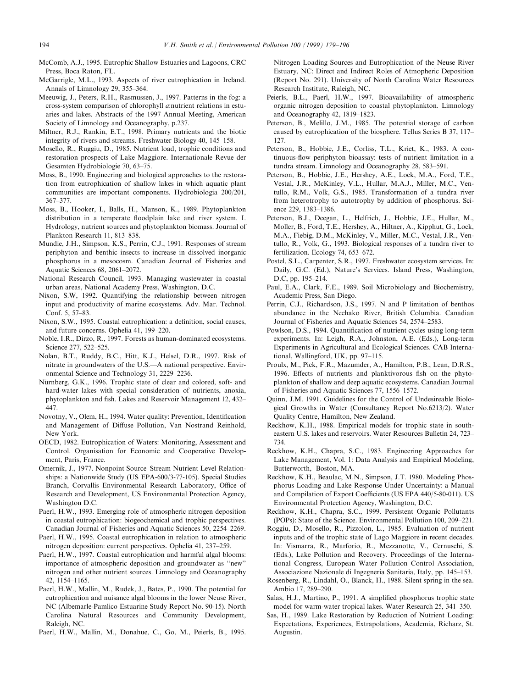- McComb, A.J., 1995. Eutrophic Shallow Estuaries and Lagoons, CRC Press, Boca Raton, FL.
- McGarrigle, M.L., 1993. Aspects of river eutrophication in Ireland. Annals of Limnology 29, 355-364.
- Meeuwig, J., Peters, R.H., Rasmussen, J., 1997. Patterns in the fog: a cross-system comparison of chlorophyll a:nutrient relations in estuaries and lakes. Abstracts of the 1997 Annual Meeting, American Society of Limnology and Oceanography, p.237.
- Miltner, R.J., Rankin, E.T., 1998. Primary nutrients and the biotic integrity of rivers and streams. Freshwater Biology 40, 145-158.
- Mosello, R., Ruggiu, D., 1985. Nutrient load, trophic conditions and restoration prospects of Lake Maggiore. Internationale Revue der Gesamten Hydrobiologie 70, 63-75.
- Moss, B., 1990. Engineering and biological approaches to the restoration from eutrophication of shallow lakes in which aquatic plant communities are important components. Hydrobiologia 200/201, 367±377.
- Moss, B., Hooker, I., Balls, H., Manson, K., 1989. Phytoplankton distribution in a temperate floodplain lake and river system. I. Hydrology, nutrient sources and phytoplankton biomass. Journal of Plankton Research 11, 813-838.
- Mundie, J.H., Simpson, K.S., Perrin, C.J., 1991. Responses of stream periphyton and benthic insects to increase in dissolved inorganic phosphorus in a mesocosm. Canadian Journal of Fisheries and Aquatic Sciences 68, 2061-2072.
- National Research Council, 1993. Managing wastewater in coastal urban areas, National Academy Press, Washington, D.C.
- Nixon, S.W, 1992. Quantifying the relationship between nitrogen input and productivity of marine ecosystems. Adv. Mar. Technol.  $Conf. 5, 57-83.$
- Nixon, S.W., 1995. Coastal eutrophication: a definition, social causes, and future concerns. Ophelia 41, 199-220.
- Noble, I.R., Dirzo, R., 1997. Forests as human-dominated ecosystems. Science 277, 522-525.
- Nolan, B.T., Ruddy, B.C., Hitt, K.J., Helsel, D.R., 1997. Risk of nitrate in groundwaters of the  $U.S.-A$  national perspective. Environmental Science and Technology 31, 2229-2236.
- Nürnberg, G.K., 1996. Trophic state of clear and colored, soft- and hard-water lakes with special consideration of nutrients, anoxia, phytoplankton and fish. Lakes and Reservoir Management 12, 432– 447.
- Novotny, V., Olem, H., 1994. Water quality: Prevention, Identification and Management of Diffuse Pollution, Van Nostrand Reinhold, New York.
- OECD, 1982. Eutrophication of Waters: Monitoring, Assessment and Control. Organisation for Economic and Cooperative Development, Paris, France.
- Omernik, J., 1977. Nonpoint Source-Stream Nutrient Level Relationships: a Nationwide Study (US EPA-600/3-77-105). Special Studies Branch, Corvallis Environmental Research Laboratory, Office of Research and Development, US Environmental Protection Agency, Washington D.C.
- Paerl, H.W., 1993. Emerging role of atmospheric nitrogen deposition in coastal eutrophication: biogeochemical and trophic perspectives. Canadian Journal of Fisheries and Aquatic Sciences 50, 2254-2269.
- Paerl, H.W., 1995. Coastal eutrophication in relation to atmospheric nitrogen deposition: current perspectives. Ophelia 41, 237-259.
- Paerl, H.W., 1997. Coastal eutrophication and harmful algal blooms: importance of atmospheric deposition and groundwater as "new" nitrogen and other nutrient sources. Limnology and Oceanography 42, 1154±1165.
- Paerl, H.W., Mallin, M., Rudek, J., Bates, P., 1990. The potential for eutrophication and nuisance algal blooms in the lower Neuse River, NC (Albemarle-Pamlico Estuarine Study Report No. 90-15). North Carolina Natural Resources and Community Development, Raleigh, NC.
- Paerl, H.W., Mallin, M., Donahue, C., Go, M., Peierls, B., 1995.

Nitrogen Loading Sources and Eutrophication of the Neuse River Estuary, NC: Direct and Indirect Roles of Atmopheric Deposition (Report No. 291). University of North Carolina Water Resources Research Institute, Raleigh, NC.

- Peierls, B.L., Paerl, H.W., 1997. Bioavailability of atmospheric organic nitrogen deposition to coastal phytoplankton. Limnology and Oceanography 42, 1819-1823.
- Peterson, B., Melillo, J.M., 1985. The potential storage of carbon caused by eutrophication of the biosphere. Tellus Series B 37, 117– 127.
- Peterson, B., Hobbie, J.E., Corliss, T.L., Kriet, K., 1983. A continuous-flow periphyton bioassay: tests of nutrient limitation in a tundra stream. Limnology and Oceanography 28, 583-591.
- Peterson, B., Hobbie, J.E., Hershey, A.E., Lock, M.A., Ford, T.E., Vestal, J.R., McKinley, V.L., Hullar, M.A.J., Miller, M.C., Ventullo, R.M., Volk, G.S., 1985. Transformation of a tundra river from heterotrophy to autotrophy by addition of phosphorus. Science 229, 1383-1386.
- Peterson, B.J., Deegan, L., Helfrich, J., Hobbie, J.E., Hullar, M., Moller, B., Ford, T.E., Hershey, A., Hiltner, A., Kipphut, G., Lock, M.A., Fiebig, D.M., McKinley, V., Miller, M.C., Vestal, J.R., Ventullo, R., Volk, G., 1993. Biological responses of a tundra river to fertilization. Ecology 74, 653-672.
- Postel, S.L., Carpenter, S.R., 1997. Freshwater ecosystem services. In: Daily, G.C. (Ed.), Nature's Services. Island Press, Washington, D.C, pp. 195-214.
- Paul, E.A., Clark, F.E., 1989. Soil Microbiology and Biochemistry, Academic Press, San Diego.
- Perrin, C.J., Richardson, J.S., 1997. N and P limitation of benthos abundance in the Nechako River, British Columbia. Canadian Journal of Fisheries and Aquatic Sciences 54, 2574-2583.
- Powlson, D.S., 1994. Quantification of nutrient cycles using long-term experiments. In: Leigh, R.A., Johnston, A.E. (Eds.), Long-term Experiments in Agricultural and Ecological Sciences. CAB International, Wallingford, UK, pp. 97-115.
- Proulx, M., Pick, F.R., Mazumder, A., Hamilton, P.B., Lean, D.R.S., 1996. Effects of nutrients and planktivorous fish on the phytoplankton of shallow and deep aquatic ecosystems. Canadian Journal of Fisheries and Aquatic Sciences 77, 1556-1572.
- Quinn, J.M. 1991. Guidelines for the Control of Undesireable Biological Growths in Water (Consultancy Report No.6213/2). Water Quality Centre, Hamilton, New Zealand.
- Reckhow, K.H., 1988. Empirical models for trophic state in southeastern U.S. lakes and reservoirs. Water Resources Bulletin 24, 723-734.
- Reckhow, K.H., Chapra, S.C., 1983. Engineering Approaches for Lake Management, Vol. 1: Data Analysis and Empirical Modeling, Butterworth, Boston, MA.
- Reckhow, K.H., Beaulac, M.N., Simpson, J.T. 1980. Modeling Phosphorus Loading and Lake Response Under Uncertainty: a Manual and Compilation of Export Coefficients (US EPA 440/5-80-011). US Environmental Protection Agency, Washington, D.C.
- Reckhow, K.H., Chapra, S.C., 1999. Persistent Organic Pollutants (POPs): State of the Science. Environmental Pollution 100, 209-221.
- Roggiu, D., Mosello, R., Pizzolon, L., 1985. Evaluation of nutrient inputs and of the trophic state of Lago Maggiore in recent decades. In: Vismarra, R., Marforio, R., Mezzanotte, V., Cernuschi, S. (Eds.), Lake Pollution and Recovery. Proceedings of the International Congress, European Water Pollution Control Association, Associazione Nazionale di Ingegneria Sanitaria, Italy, pp. 145–153.
- Rosenberg, R., Lindahl, O., Blanck, H., 1988. Silent spring in the sea. Ambio 17, 289-290.
- Salas, H.J., Martino, P., 1991. A simplified phosphorus trophic state model for warm-water tropical lakes. Water Research 25, 341–350.
- Sas, H., 1989. Lake Restoration by Reduction of Nutrient Loading: Expectations, Experiences, Extrapolations, Academia, Richarz, St. Augustin.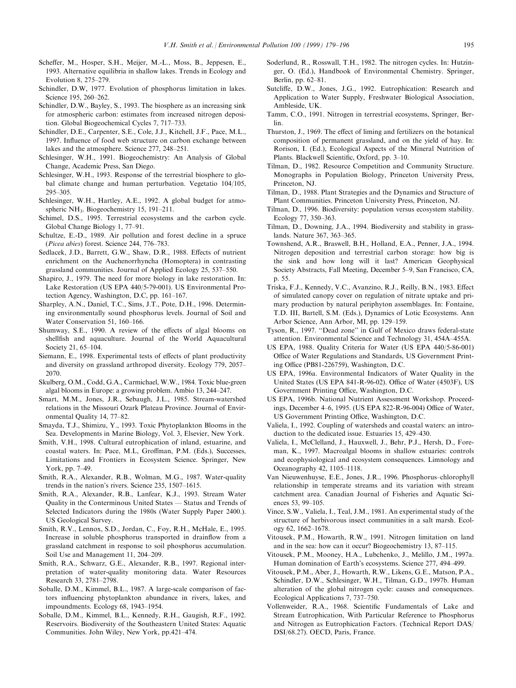- Scheffer, M., Hosper, S.H., Meijer, M.-L., Moss, B., Jeppesen, E., 1993. Alternative equilibria in shallow lakes. Trends in Ecology and Evolution 8, 275-279.
- Schindler, D.W, 1977. Evolution of phosphorus limitation in lakes. Science 195, 260-262.
- Schindler, D.W., Bayley, S., 1993. The biosphere as an increasing sink for atmospheric carbon: estimates from increased nitrogen deposition. Global Biogeochemical Cycles 7, 717-733.
- Schindler, D.E., Carpenter, S.E., Cole, J.J., Kitchell, J.F., Pace, M.L., 1997. Influence of food web structure on carbon exchange between lakes and the atmosphere. Science 277, 248-251.
- Schlesinger, W.H., 1991. Biogeochemistry: An Analysis of Global Change, Academic Press, San Diego.
- Schlesinger, W.H., 1993. Response of the terrestrial biosphere to global climate change and human perturbation. Vegetatio 104/105, 295±305.
- Schlesinger, W.H., Hartley, A.E., 1992. A global budget for atmospheric NH<sub>3</sub>. Biogeochemistry 15, 191-211.
- Schimel, D.S., 1995. Terrestrial ecosystems and the carbon cycle. Global Change Biology 1, 77-91.
- Schultze, E.-D., 1989. Air pollution and forest decline in a spruce (Picea abies) forest. Science 244, 776-783.
- Sedlacek, J.D., Barrett, G.W., Shaw, D.R., 1988. Effects of nutrient enrichment on the Auchenorrhyncha (Homoptera) in contrasting grassland communities. Journal of Applied Ecology 25, 537–550.
- Shapiro, J., 1979. The need for more biology in lake restoration. In: Lake Restoration (US EPA 440/5-79-001). US Environmental Protection Agency, Washington, D.C, pp.  $161-167$ .
- Sharpley, A.N., Daniel, T.C., Sims, J.T., Pote, D.H., 1996. Determining environmentally sound phosphorus levels. Journal of Soil and Water Conservation 51, 160-166.
- Shumway, S.E., 1990. A review of the effects of algal blooms on shellfish and aquaculture. Journal of the World Aquacultural Society 21, 65-104.
- Siemann, E., 1998. Experimental tests of effects of plant productivity and diversity on grassland arthropod diversity. Ecology 779, 2057-2070.
- Skulberg, O.M., Codd, G.A., Carmichael, W.W., 1984. Toxic blue-green algal blooms in Europe: a growing problem. Ambio 13, 244-247.
- Smart, M.M., Jones, J.R., Sebaugh, J.L., 1985. Stream-watershed relations in the Missouri Ozark Plateau Province. Journal of Environmental Quality 14, 77-82.
- Smayda, T.J., Shimizu, Y., 1993. Toxic Phytoplankton Blooms in the Sea. Developments in Marine Biology, Vol. 3, Elsevier, New York.
- Smith, V.H., 1998. Cultural eutrophication of inland, estuarine, and coastal waters. In: Pace, M.L, Groffman, P.M. (Eds.), Successes, Limitations and Frontiers in Ecosystem Science. Springer, New York, pp. 7-49.
- Smith, R.A., Alexander, R.B., Wolman, M.G., 1987. Water-quality trends in the nation's rivers. Science  $235$ ,  $1507-1615$ .
- Smith, R.A., Alexander, R.B., Lanfear, K.J., 1993. Stream Water Quality in the Conterminous United States - Status and Trends of Selected Indicators during the 1980s (Water Supply Paper 2400.). US Geological Survey.
- Smith, R.V., Lennox, S.D., Jordan, C., Foy, R.H., McHale, E., 1995. Increase in soluble phosphorus transported in drainflow from a grassland catchment in response to soil phosphorus accumulation. Soil Use and Management 11, 204-209.
- Smith, R.A., Schwarz, G.E., Alexander, R.B., 1997. Regional interpretation of water-quality monitoring data. Water Resources Research 33, 2781-2798.
- Soballe, D.M., Kimmel, B.L., 1987. A large-scale comparison of factors influencing phytoplankton abundance in rivers, lakes, and impoundments. Ecology 68, 1943-1954.
- Soballe, D.M., Kimmel, B.L., Kennedy, R.H., Gaugish, R.F., 1992. Reservoirs. Biodiversity of the Southeastern United States: Aquatic Communities. John Wiley, New York, pp.421-474.
- Soderlund, R., Rosswall, T.H., 1982. The nitrogen cycles. In: Hutzinger, O. (Ed.), Handbook of Environmental Chemistry. Springer, Berlin, pp. 62-81.
- Sutcliffe, D.W., Jones, J.G., 1992. Eutrophication: Research and Application to Water Supply, Freshwater Biological Association, Ambleside, UK.
- Tamm, C.O., 1991. Nitrogen in terrestrial ecosystems, Springer, Berlin.
- Thurston, J., 1969. The effect of liming and fertilizers on the botanical composition of permanent grassland, and on the yield of hay. In: Rorison, I. (Ed.), Ecological Aspects of the Mineral Nutrition of Plants. Blackwell Scientific, Oxford, pp. 3–10.
- Tilman, D., 1982. Resource Competition and Community Structure. Monographs in Population Biology, Princeton University Press, Princeton, NJ.
- Tilman, D., 1988. Plant Strategies and the Dynamics and Structure of Plant Communities. Princeton University Press, Princeton, NJ.
- Tilman, D., 1996. Biodiversity: population versus ecosystem stability. Ecology 77, 350-363.
- Tilman, D., Downing, J.A., 1994. Biodiversity and stability in grasslands. Nature 367, 363-365.
- Townshend, A.R., Braswell, B.H., Holland, E.A., Penner, J.A., 1994. Nitrogen deposition and terrestrial carbon storage: how big is the sink and how long will it last? American Geophysical Society Abstracts, Fall Meeting, December 5–9, San Francisco, CA, p. 55.
- Triska, F.J., Kennedy, V.C., Avanzino, R.J., Reilly, B.N., 1983. Effect of simulated canopy cover on regulation of nitrate uptake and primary production by natural periphyton assemblages. In: Fontaine, T.D. III, Bartell, S.M. (Eds.), Dynamics of Lotic Ecosystems. Ann Arbor Science, Ann Arbor, MI, pp. 129-159.
- Tyson, R., 1997. "Dead zone" in Gulf of Mexico draws federal-state attention. Environmental Science and Technology 31, 454A-455A.
- US EPA, 1988. Quality Criteria for Water (US EPA 440/5-86-001) Office of Water Regulations and Standards, US Government Printing Office (PB81-226759), Washington, D.C.
- US EPA, 1996a. Environmental Indicators of Water Quality in the United States (US EPA 841-R-96-02). Office of Water (4503F), US Government Printing Office, Washington, D.C.
- US EPA, 1996b. National Nutrient Assessment Workshop. Proceedings, December 4-6, 1995. (US EPA 822-R-96-004) Office of Water, US Government Printing Office, Washington, D.C.
- Valiela, I., 1992. Coupling of watersheds and coastal waters: an introduction to the dedicated issue. Estuaries  $15, 429-430$ .
- Valiela, I., McClelland, J., Hauxwell, J., Behr, P.J., Hersh, D., Foreman, K., 1997. Macroalgal blooms in shallow estuaries: controls and ecophysiological and ecosystem consequences. Limnology and Oceanography 42, 1105-1118.
- Van Nieuwenhuyse, E.E., Jones, J.R., 1996. Phosphorus-chlorophyll relationship in temperate streams and its variation with stream catchment area. Canadian Journal of Fisheries and Aquatic Sciences  $53, 99-105$ .
- Vince, S.W., Valiela, I., Teal, J.M., 1981. An experimental study of the structure of herbivorous insect communities in a salt marsh. Ecology 62, 1662-1678.
- Vitousek, P.M., Howarth, R.W., 1991. Nitrogen limitation on land and in the sea: how can it occur? Biogeochemistry  $13, 87-115$ .
- Vitousek, P.M., Mooney, H.A., Lubchenko, J., Melillo, J.M., 1997a. Human domination of Earth's ecosystems. Science 277, 494-499.
- Vitousek, P.M., Aber, J., Howarth, R.W., Likens, G.E., Matson, P.A., Schindler, D.W., Schlesinger, W.H., Tilman, G.D., 1997b. Human alteration of the global nitrogen cycle: causes and consequences. Ecological Applications 7, 737–750.
- Vollenweider, R.A., 1968. Scientific Fundamentals of Lake and Stream Eutrophication, With Particular Reference to Phosphorus and Nitrogen as Eutrophication Factors. (Technical Report DAS/ DSI/68.27). OECD, Paris, France.